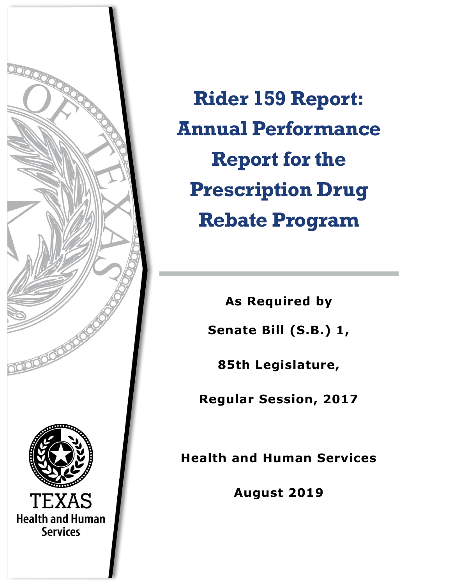

**Rider 159 Report: Annual Performance Report for the Prescription Drug Rebate Program**

> **As Required by Senate Bill (S.B.) 1,**

**85th Legislature,** 

**Regular Session, 2017**

**Health and Human Services**

**August 2019**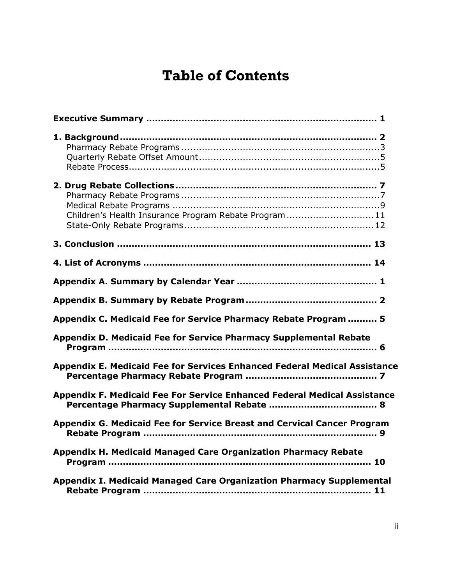# **Table of Contents**

| Children's Health Insurance Program Rebate Program11                      |
|---------------------------------------------------------------------------|
|                                                                           |
|                                                                           |
|                                                                           |
|                                                                           |
| Appendix C. Medicaid Fee for Service Pharmacy Rebate Program  5           |
| Appendix D. Medicaid Fee for Service Pharmacy Supplemental Rebate         |
| Appendix E. Medicaid Fee for Services Enhanced Federal Medical Assistance |
| Appendix F. Medicaid Fee For Service Enhanced Federal Medical Assistance  |
| Appendix G. Medicaid Fee for Service Breast and Cervical Cancer Program   |
| <b>Appendix H. Medicaid Managed Care Organization Pharmacy Rebate</b>     |
| Appendix I. Medicaid Managed Care Organization Pharmacy Supplemental      |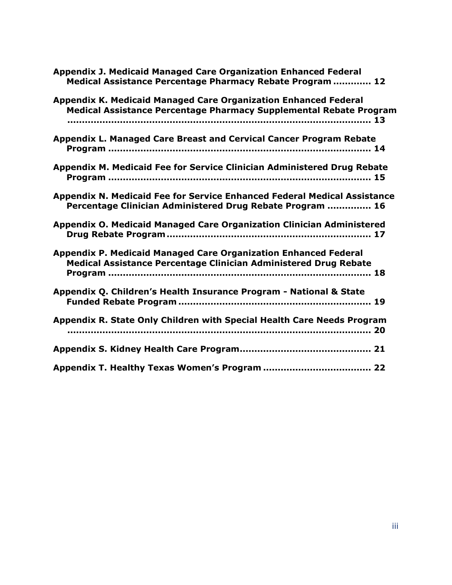| <b>Appendix J. Medicaid Managed Care Organization Enhanced Federal</b><br>Medical Assistance Percentage Pharmacy Rebate Program  12   |
|---------------------------------------------------------------------------------------------------------------------------------------|
| Appendix K. Medicaid Managed Care Organization Enhanced Federal<br>Medical Assistance Percentage Pharmacy Supplemental Rebate Program |
| Appendix L. Managed Care Breast and Cervical Cancer Program Rebate                                                                    |
| Appendix M. Medicaid Fee for Service Clinician Administered Drug Rebate                                                               |
| Appendix N. Medicaid Fee for Service Enhanced Federal Medical Assistance<br>Percentage Clinician Administered Drug Rebate Program  16 |
| Appendix O. Medicaid Managed Care Organization Clinician Administered                                                                 |
| Appendix P. Medicaid Managed Care Organization Enhanced Federal<br>Medical Assistance Percentage Clinician Administered Drug Rebate   |
| Appendix Q. Children's Health Insurance Program - National & State                                                                    |
| Appendix R. State Only Children with Special Health Care Needs Program                                                                |
|                                                                                                                                       |
|                                                                                                                                       |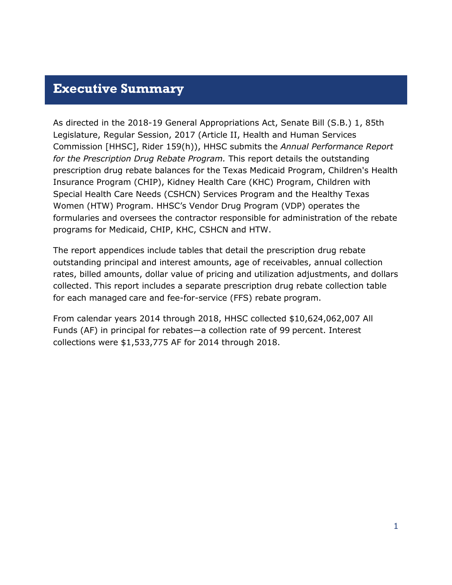### <span id="page-3-0"></span>**Executive Summary**

As directed in the 2018-19 General Appropriations Act, Senate Bill (S.B.) 1, 85th Legislature, Regular Session, 2017 (Article II, Health and Human Services Commission [HHSC], Rider 159(h)), HHSC submits the *Annual Performance Report for the Prescription Drug Rebate Program.* This report details the outstanding prescription drug rebate balances for the Texas Medicaid Program, Children's Health Insurance Program (CHIP), Kidney Health Care (KHC) Program, Children with Special Health Care Needs (CSHCN) Services Program and the Healthy Texas Women (HTW) Program. HHSC's Vendor Drug Program (VDP) operates the formularies and oversees the contractor responsible for administration of the rebate programs for Medicaid, CHIP, KHC, CSHCN and HTW.

The report appendices include tables that detail the prescription drug rebate outstanding principal and interest amounts, age of receivables, annual collection rates, billed amounts, dollar value of pricing and utilization adjustments, and dollars collected. This report includes a separate prescription drug rebate collection table for each managed care and fee-for-service (FFS) rebate program.

From calendar years 2014 through 2018, HHSC collected \$10,624,062,007 All Funds (AF) in principal for rebates—a collection rate of 99 percent. Interest collections were \$1,533,775 AF for 2014 through 2018.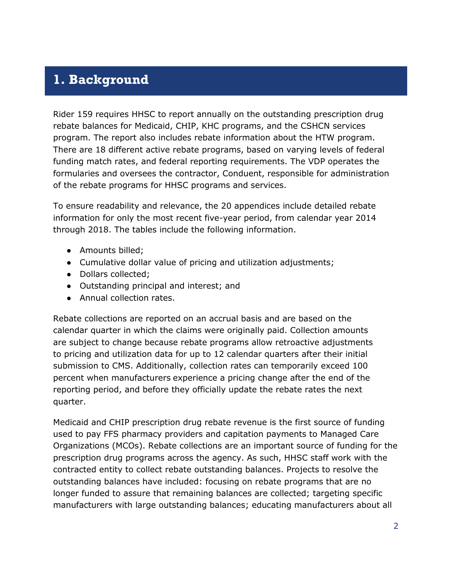### <span id="page-4-0"></span>**1. Background**

Rider 159 requires HHSC to report annually on the outstanding prescription drug rebate balances for Medicaid, CHIP, KHC programs, and the CSHCN services program. The report also includes rebate information about the HTW program. There are 18 different active rebate programs, based on varying levels of federal funding match rates, and federal reporting requirements. The VDP operates the formularies and oversees the contractor, Conduent, responsible for administration of the rebate programs for HHSC programs and services.

To ensure readability and relevance, the 20 appendices include detailed rebate information for only the most recent five-year period, from calendar year 2014 through 2018. The tables include the following information.

- Amounts billed;
- Cumulative dollar value of pricing and utilization adjustments;
- Dollars collected;
- Outstanding principal and interest; and
- Annual collection rates.

Rebate collections are reported on an accrual basis and are based on the calendar quarter in which the claims were originally paid. Collection amounts are subject to change because rebate programs allow retroactive adjustments to pricing and utilization data for up to 12 calendar quarters after their initial submission to CMS. Additionally, collection rates can temporarily exceed 100 percent when manufacturers experience a pricing change after the end of the reporting period, and before they officially update the rebate rates the next quarter.

Medicaid and CHIP prescription drug rebate revenue is the first source of funding used to pay FFS pharmacy providers and capitation payments to Managed Care Organizations (MCOs). Rebate collections are an important source of funding for the prescription drug programs across the agency. As such, HHSC staff work with the contracted entity to collect rebate outstanding balances. Projects to resolve the outstanding balances have included: focusing on rebate programs that are no longer funded to assure that remaining balances are collected; targeting specific manufacturers with large outstanding balances; educating manufacturers about all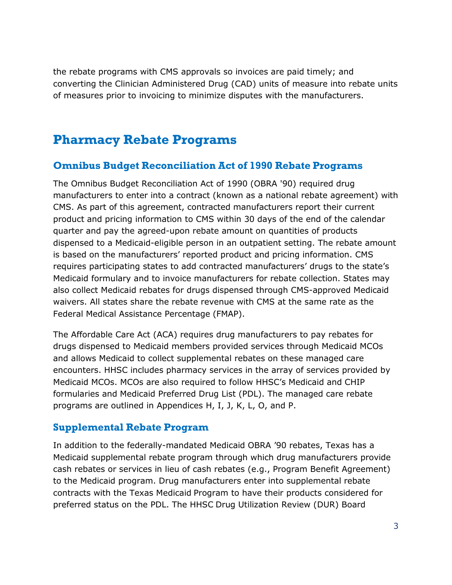the rebate programs with CMS approvals so invoices are paid timely; and converting the Clinician Administered Drug (CAD) units of measure into rebate units of measures prior to invoicing to minimize disputes with the manufacturers.

## <span id="page-5-0"></span>**Pharmacy Rebate Programs**

#### **Omnibus Budget Reconciliation Act of 1990 Rebate Programs**

The Omnibus Budget Reconciliation Act of 1990 (OBRA '90) required drug manufacturers to enter into a contract (known as a national rebate agreement) with CMS. As part of this agreement, contracted manufacturers report their current product and pricing information to CMS within 30 days of the end of the calendar quarter and pay the agreed-upon rebate amount on quantities of products dispensed to a Medicaid-eligible person in an outpatient setting. The rebate amount is based on the manufacturers' reported product and pricing information. CMS requires participating states to add contracted manufacturers' drugs to the state's Medicaid formulary and to invoice manufacturers for rebate collection. States may also collect Medicaid rebates for drugs dispensed through CMS-approved Medicaid waivers. All states share the rebate revenue with CMS at the same rate as the Federal Medical Assistance Percentage (FMAP).

The Affordable Care Act (ACA) requires drug manufacturers to pay rebates for drugs dispensed to Medicaid members provided services through Medicaid MCOs and allows Medicaid to collect supplemental rebates on these managed care encounters. HHSC includes pharmacy services in the array of services provided by Medicaid MCOs. MCOs are also required to follow HHSC's Medicaid and CHIP formularies and Medicaid Preferred Drug List (PDL). The managed care rebate programs are outlined in Appendices H, I, J, K, L, O, and P.

#### **Supplemental Rebate Program**

In addition to the federally-mandated Medicaid OBRA '90 rebates, Texas has a Medicaid supplemental rebate program through which drug manufacturers provide cash rebates or services in lieu of cash rebates (e.g., Program Benefit Agreement) to the Medicaid program. Drug manufacturers enter into supplemental rebate contracts with the Texas Medicaid Program to have their products considered for preferred status on the PDL. The HHSC Drug Utilization Review (DUR) Board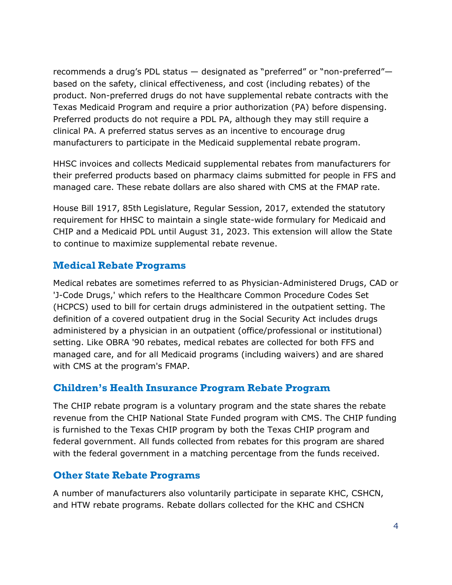recommends a drug's PDL status - designated as "preferred" or "non-preferred"based on the safety, clinical effectiveness, and cost (including rebates) of the product. Non-preferred drugs do not have supplemental rebate contracts with the Texas Medicaid Program and require a prior authorization (PA) before dispensing. Preferred products do not require a PDL PA, although they may still require a clinical PA. A preferred status serves as an incentive to encourage drug manufacturers to participate in the Medicaid supplemental rebate program.

HHSC invoices and collects Medicaid supplemental rebates from manufacturers for their preferred products based on pharmacy claims submitted for people in FFS and managed care. These rebate dollars are also shared with CMS at the FMAP rate.

House Bill 1917, 85th Legislature, Regular Session, 2017, extended the statutory requirement for HHSC to maintain a single state-wide formulary for Medicaid and CHIP and a Medicaid PDL until August 31, 2023. This extension will allow the State to continue to maximize supplemental rebate revenue.

#### **Medical Rebate Programs**

Medical rebates are sometimes referred to as Physician-Administered Drugs, CAD or 'J-Code Drugs,' which refers to the Healthcare Common Procedure Codes Set (HCPCS) used to bill for certain drugs administered in the outpatient setting. The definition of a covered outpatient drug in the Social Security Act includes drugs administered by a physician in an outpatient (office/professional or institutional) setting. Like OBRA '90 rebates, medical rebates are collected for both FFS and managed care, and for all Medicaid programs (including waivers) and are shared with CMS at the program's FMAP.

#### **Children's Health Insurance Program Rebate Program**

The CHIP rebate program is a voluntary program and the state shares the rebate revenue from the CHIP National State Funded program with CMS. The CHIP funding is furnished to the Texas CHIP program by both the Texas CHIP program and federal government. All funds collected from rebates for this program are shared with the federal government in a matching percentage from the funds received.

#### **Other State Rebate Programs**

A number of manufacturers also voluntarily participate in separate KHC, CSHCN, and HTW rebate programs. Rebate dollars collected for the KHC and CSHCN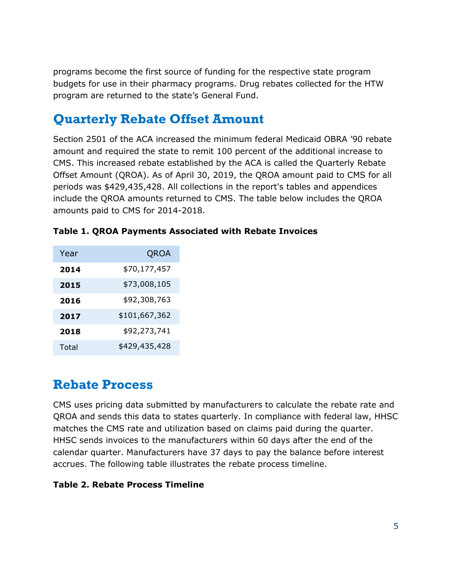programs become the first source of funding for the respective state program budgets for use in their pharmacy programs. Drug rebates collected for the HTW program are returned to the state's General Fund.

## <span id="page-7-0"></span>**Quarterly Rebate Offset Amount**

Section 2501 of the ACA increased the minimum federal Medicaid OBRA '90 rebate amount and required the state to remit 100 percent of the additional increase to CMS. This increased rebate established by the ACA is called the Quarterly Rebate Offset Amount (QROA). As of April 30, 2019, the QROA amount paid to CMS for all periods was \$429,435,428. All collections in the report's tables and appendices include the QROA amounts returned to CMS. The table below includes the QROA amounts paid to CMS for 2014-2018.

| Year  | QROA          |
|-------|---------------|
| 2014  | \$70,177,457  |
| 2015  | \$73,008,105  |
| 2016  | \$92,308,763  |
| 2017  | \$101,667,362 |
| 2018  | \$92,273,741  |
| Total | \$429,435,428 |

|  |  |  |  | Table 1. QROA Payments Associated with Rebate Invoices |  |  |  |
|--|--|--|--|--------------------------------------------------------|--|--|--|
|--|--|--|--|--------------------------------------------------------|--|--|--|

### <span id="page-7-1"></span>**Rebate Process**

CMS uses pricing data submitted by manufacturers to calculate the rebate rate and QROA and sends this data to states quarterly. In compliance with federal law, HHSC matches the CMS rate and utilization based on claims paid during the quarter. HHSC sends invoices to the manufacturers within 60 days after the end of the calendar quarter. Manufacturers have 37 days to pay the balance before interest accrues. The following table illustrates the rebate process timeline.

#### **Table 2. Rebate Process Timeline**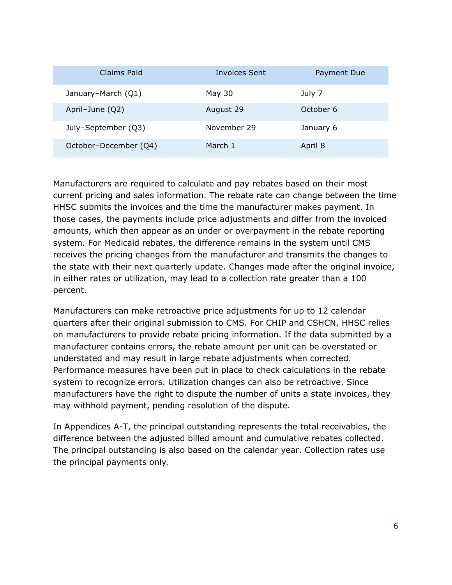| Claims Paid           | Invoices Sent | Payment Due |
|-----------------------|---------------|-------------|
| January-March (Q1)    | May 30        | July 7      |
| April-June (Q2)       | August 29     | October 6   |
| July-September (Q3)   | November 29   | January 6   |
| October-December (Q4) | March 1       | April 8     |

Manufacturers are required to calculate and pay rebates based on their most current pricing and sales information. The rebate rate can change between the time HHSC submits the invoices and the time the manufacturer makes payment. In those cases, the payments include price adjustments and differ from the invoiced amounts, which then appear as an under or overpayment in the rebate reporting system. For Medicaid rebates, the difference remains in the system until CMS receives the pricing changes from the manufacturer and transmits the changes to the state with their next quarterly update. Changes made after the original invoice, in either rates or utilization, may lead to a collection rate greater than a 100 percent.

Manufacturers can make retroactive price adjustments for up to 12 calendar quarters after their original submission to CMS. For CHIP and CSHCN, HHSC relies on manufacturers to provide rebate pricing information. If the data submitted by a manufacturer contains errors, the rebate amount per unit can be overstated or understated and may result in large rebate adjustments when corrected. Performance measures have been put in place to check calculations in the rebate system to recognize errors. Utilization changes can also be retroactive. Since manufacturers have the right to dispute the number of units a state invoices, they may withhold payment, pending resolution of the dispute.

In Appendices A-T, the principal outstanding represents the total receivables, the difference between the adjusted billed amount and cumulative rebates collected. The principal outstanding is also based on the calendar year. Collection rates use the principal payments only.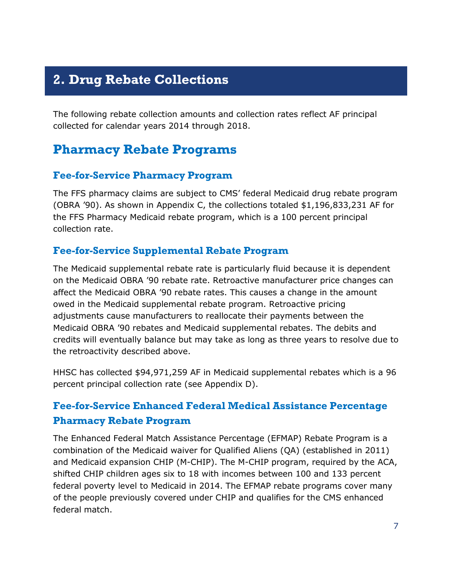## <span id="page-9-0"></span>**2. Drug Rebate Collections**

The following rebate collection amounts and collection rates reflect AF principal collected for calendar years 2014 through 2018.

### <span id="page-9-1"></span>**Pharmacy Rebate Programs**

#### **Fee-for-Service Pharmacy Program**

The FFS pharmacy claims are subject to CMS' federal Medicaid drug rebate program (OBRA '90). As shown in [Appendix C,](#page-22-0) the collections totaled \$1,196,833,231 AF for the FFS Pharmacy Medicaid rebate program, which is a 100 percent principal collection rate.

#### **Fee-for-Service Supplemental Rebate Program**

The Medicaid supplemental rebate rate is particularly fluid because it is dependent on the Medicaid OBRA '90 rebate rate. Retroactive manufacturer price changes can affect the Medicaid OBRA '90 rebate rates. This causes a change in the amount owed in the Medicaid supplemental rebate program. Retroactive pricing adjustments cause manufacturers to reallocate their payments between the Medicaid OBRA '90 rebates and Medicaid supplemental rebates. The debits and credits will eventually balance but may take as long as three years to resolve due to the retroactivity described above.

HHSC has collected \$94,971,259 AF in Medicaid supplemental rebates which is a 96 percent principal collection rate (see [Appendix D\)](#page-23-0).

### **Fee-for-Service Enhanced Federal Medical Assistance Percentage Pharmacy Rebate Program**

The Enhanced Federal Match Assistance Percentage (EFMAP) Rebate Program is a combination of the Medicaid waiver for Qualified Aliens (QA) (established in 2011) and Medicaid expansion CHIP (M-CHIP). The M-CHIP program, required by the ACA, shifted CHIP children ages six to 18 with incomes between 100 and 133 percent federal poverty level to Medicaid in 2014. The EFMAP rebate programs cover many of the people previously covered under CHIP and qualifies for the CMS enhanced federal match.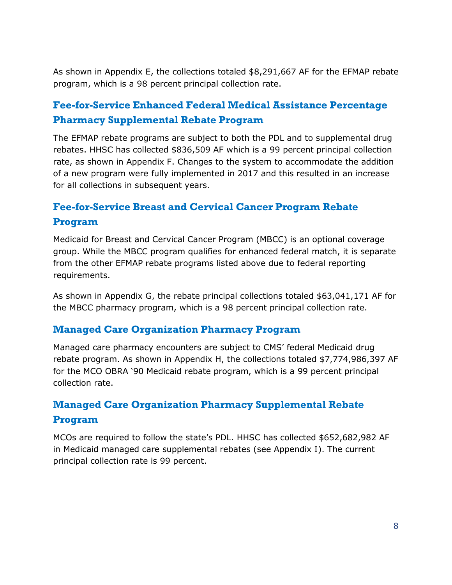As shown in [Appendix E,](#page-24-0) the collections totaled \$8,291,667 AF for the EFMAP rebate program, which is a 98 percent principal collection rate.

### **Fee-for-Service Enhanced Federal Medical Assistance Percentage Pharmacy Supplemental Rebate Program**

The EFMAP rebate programs are subject to both the PDL and to supplemental drug rebates. HHSC has collected \$836,509 AF which is a 99 percent principal collection rate, as shown in [Appendix F.](#page-25-0) Changes to the system to accommodate the addition of a new program were fully implemented in 2017 and this resulted in an increase for all collections in subsequent years.

### **Fee-for-Service Breast and Cervical Cancer Program Rebate Program**

Medicaid for Breast and Cervical Cancer Program (MBCC) is an optional coverage group. While the MBCC program qualifies for enhanced federal match, it is separate from the other EFMAP rebate programs listed above due to federal reporting requirements.

As shown in [Appendix G,](#page-26-0) the rebate principal collections totaled \$63,041,171 AF for the MBCC pharmacy program, which is a 98 percent principal collection rate.

#### **Managed Care Organization Pharmacy Program**

Managed care pharmacy encounters are subject to CMS' federal Medicaid drug rebate program. As shown in [Appendix H,](#page-27-0) the collections totaled \$7,774,986,397 AF for the MCO OBRA '90 Medicaid rebate program, which is a 99 percent principal collection rate.

### **Managed Care Organization Pharmacy Supplemental Rebate Program**

MCOs are required to follow the state's PDL. HHSC has collected \$652,682,982 AF in Medicaid managed care supplemental rebates (see [Appendix I\)](#page-28-0). The current principal collection rate is 99 percent.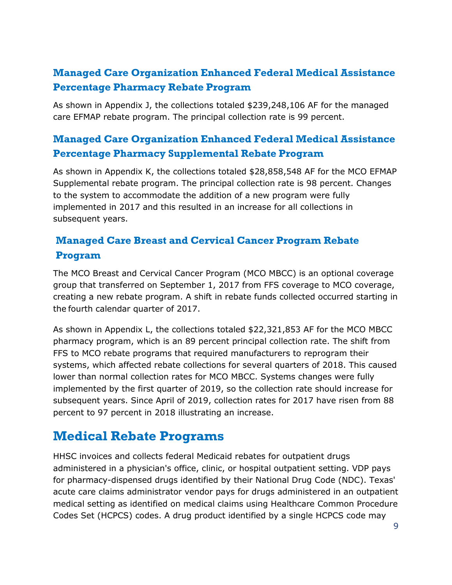### **Managed Care Organization Enhanced Federal Medical Assistance Percentage Pharmacy Rebate Program**

As shown in [Appendix J,](#page-29-0) the collections totaled \$239,248,106 AF for the managed care EFMAP rebate program. The principal collection rate is 99 percent.

### **Managed Care Organization Enhanced Federal Medical Assistance Percentage Pharmacy Supplemental Rebate Program**

As shown in [Appendix K,](#page-30-0) the collections totaled \$28,858,548 AF for the MCO EFMAP Supplemental rebate program. The principal collection rate is 98 percent. Changes to the system to accommodate the addition of a new program were fully implemented in 2017 and this resulted in an increase for all collections in subsequent years.

### **Managed Care Breast and Cervical Cancer Program Rebate Program**

The MCO Breast and Cervical Cancer Program (MCO MBCC) is an optional coverage group that transferred on September 1, 2017 from FFS coverage to MCO coverage, creating a new rebate program. A shift in rebate funds collected occurred starting in the fourth calendar quarter of 2017.

As shown in [Appendix L,](#page-31-0) the collections totaled \$22,321,853 AF for the MCO MBCC pharmacy program, which is an 89 percent principal collection rate. The shift from FFS to MCO rebate programs that required manufacturers to reprogram their systems, which affected rebate collections for several quarters of 2018. This caused lower than normal collection rates for MCO MBCC. Systems changes were fully implemented by the first quarter of 2019, so the collection rate should increase for subsequent years. Since April of 2019, collection rates for 2017 have risen from 88 percent to 97 percent in 2018 illustrating an increase.

### <span id="page-11-0"></span>**Medical Rebate Programs**

HHSC invoices and collects federal Medicaid rebates for outpatient drugs administered in a physician's office, clinic, or hospital outpatient setting. VDP pays for pharmacy-dispensed drugs identified by their National Drug Code (NDC). Texas' acute care claims administrator vendor pays for drugs administered in an outpatient medical setting as identified on medical claims using Healthcare Common Procedure Codes Set (HCPCS) codes. A drug product identified by a single HCPCS code may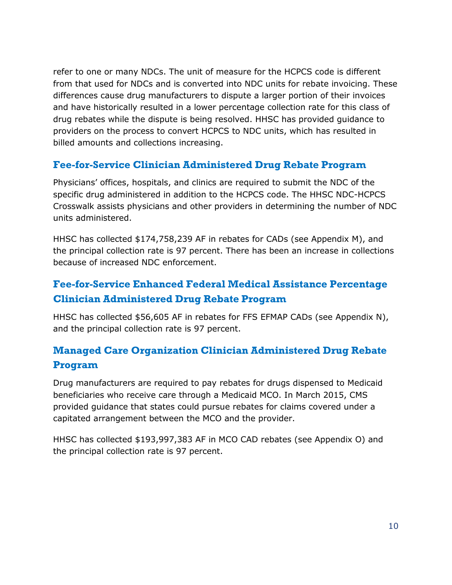refer to one or many NDCs. The unit of measure for the HCPCS code is different from that used for NDCs and is converted into NDC units for rebate invoicing. These differences cause drug manufacturers to dispute a larger portion of their invoices and have historically resulted in a lower percentage collection rate for this class of drug rebates while the dispute is being resolved. HHSC has provided guidance to providers on the process to convert HCPCS to NDC units, which has resulted in billed amounts and collections increasing.

#### **Fee-for-Service Clinician Administered Drug Rebate Program**

Physicians' offices, hospitals, and clinics are required to submit the NDC of the specific drug administered in addition to the HCPCS code. The HHSC NDC-HCPCS Crosswalk assists physicians and other providers in determining the number of NDC units administered.

HHSC has collected \$174,758,239 AF in rebates for CADs (see [Appendix M\)](#page-32-0), and the principal collection rate is 97 percent. There has been an increase in collections because of increased NDC enforcement.

### **Fee-for-Service Enhanced Federal Medical Assistance Percentage Clinician Administered Drug Rebate Program**

HHSC has collected \$56,605 AF in rebates for FFS EFMAP CADs (see [Appendix N\)](#page-33-0), and the principal collection rate is 97 percent.

### **Managed Care Organization Clinician Administered Drug Rebate Program**

Drug manufacturers are required to pay rebates for drugs dispensed to Medicaid beneficiaries who receive care through a Medicaid MCO. In March 2015, CMS provided guidance that states could pursue rebates for claims covered under a capitated arrangement between the MCO and the provider.

HHSC has collected \$193,997,383 AF in MCO CAD rebates (see [Appendix O\)](#page-34-0) and the principal collection rate is 97 percent.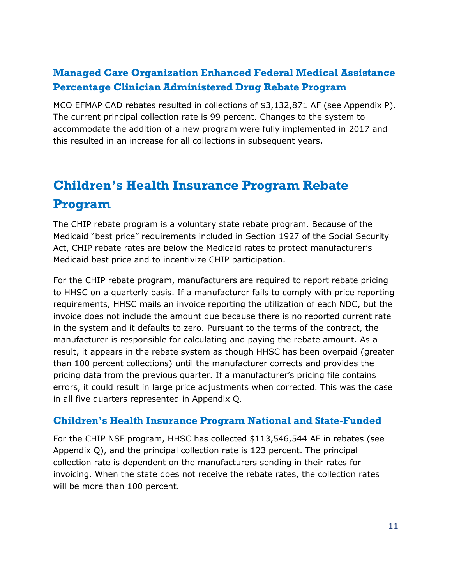### **Managed Care Organization Enhanced Federal Medical Assistance Percentage Clinician Administered Drug Rebate Program**

MCO EFMAP CAD rebates resulted in collections of \$3,132,871 AF (see [Appendix P\)](#page-35-0). The current principal collection rate is 99 percent. Changes to the system to accommodate the addition of a new program were fully implemented in 2017 and this resulted in an increase for all collections in subsequent years.

# <span id="page-13-0"></span>**Children's Health Insurance Program Rebate Program**

The CHIP rebate program is a voluntary state rebate program. Because of the Medicaid "best price" requirements included in Section 1927 of the Social Security Act, CHIP rebate rates are below the Medicaid rates to protect manufacturer's Medicaid best price and to incentivize CHIP participation.

For the CHIP rebate program, manufacturers are required to report rebate pricing to HHSC on a quarterly basis. If a manufacturer fails to comply with price reporting requirements, HHSC mails an invoice reporting the utilization of each NDC, but the invoice does not include the amount due because there is no reported current rate in the system and it defaults to zero. Pursuant to the terms of the contract, the manufacturer is responsible for calculating and paying the rebate amount. As a result, it appears in the rebate system as though HHSC has been overpaid (greater than 100 percent collections) until the manufacturer corrects and provides the pricing data from the previous quarter. If a manufacturer's pricing file contains errors, it could result in large price adjustments when corrected. This was the case in all five quarters represented in [Appendix Q.](#page-36-0)

#### **Children's Health Insurance Program National and State-Funded**

For the CHIP NSF program, HHSC has collected \$113,546,544 AF in rebates (see [Appendix Q\)](#page-36-0), and the principal collection rate is 123 percent. The principal collection rate is dependent on the manufacturers sending in their rates for invoicing. When the state does not receive the rebate rates, the collection rates will be more than 100 percent.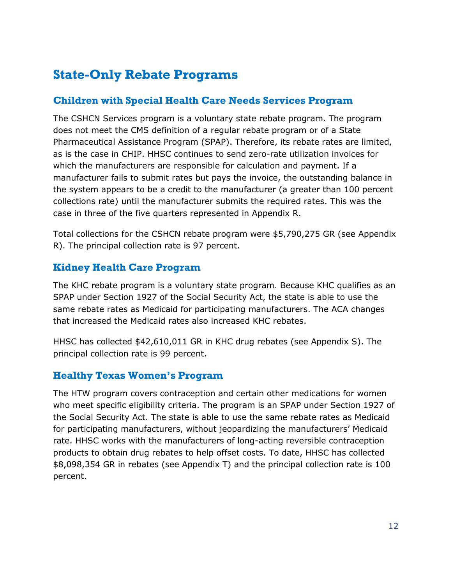## <span id="page-14-0"></span>**State-Only Rebate Programs**

#### **Children with Special Health Care Needs Services Program**

The CSHCN Services program is a voluntary state rebate program. The program does not meet the CMS definition of a regular rebate program or of a State Pharmaceutical Assistance Program (SPAP). Therefore, its rebate rates are limited, as is the case in CHIP. HHSC continues to send zero-rate utilization invoices for which the manufacturers are responsible for calculation and payment. If a manufacturer fails to submit rates but pays the invoice, the outstanding balance in the system appears to be a credit to the manufacturer (a greater than 100 percent collections rate) until the manufacturer submits the required rates. This was the case in three of the five quarters represented in Appendix R.

Total collections for the CSHCN rebate program were \$5,790,275 GR (see [Appendix](#page-37-0)  [R\)](#page-37-0). The principal collection rate is 97 percent.

#### **Kidney Health Care Program**

The KHC rebate program is a voluntary state program. Because KHC qualifies as an SPAP under Section 1927 of the Social Security Act, the state is able to use the same rebate rates as Medicaid for participating manufacturers. The ACA changes that increased the Medicaid rates also increased KHC rebates.

HHSC has collected \$42,610,011 GR in KHC drug rebates (see [Appendix S\)](#page-38-0). The principal collection rate is 99 percent.

#### **Healthy Texas Women's Program**

The HTW program covers contraception and certain other medications for women who meet specific eligibility criteria. The program is an SPAP under Section 1927 of the Social Security Act. The state is able to use the same rebate rates as Medicaid for participating manufacturers, without jeopardizing the manufacturers' Medicaid rate. HHSC works with the manufacturers of long-acting reversible contraception products to obtain drug rebates to help offset costs. To date, HHSC has collected \$8,098,354 GR in rebates (see [Appendix T\)](#page-39-0) and the principal collection rate is 100 percent.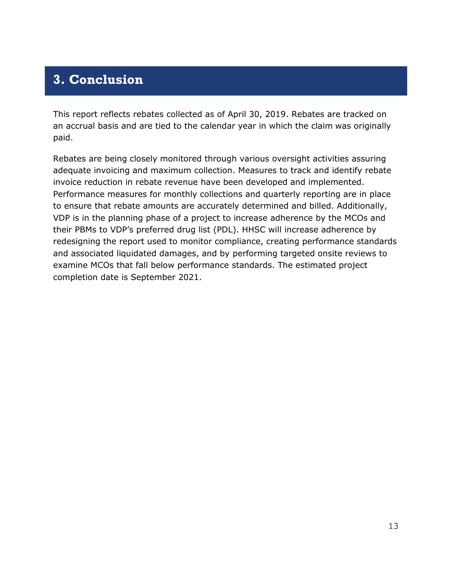## <span id="page-15-0"></span>**3. Conclusion**

This report reflects rebates collected as of April 30, 2019. Rebates are tracked on an accrual basis and are tied to the calendar year in which the claim was originally paid.

Rebates are being closely monitored through various oversight activities assuring adequate invoicing and maximum collection. Measures to track and identify rebate invoice reduction in rebate revenue have been developed and implemented. Performance measures for monthly collections and quarterly reporting are in place to ensure that rebate amounts are accurately determined and billed. Additionally, VDP is in the planning phase of a project to increase adherence by the MCOs and their PBMs to VDP's preferred drug list (PDL). HHSC will increase adherence by redesigning the report used to monitor compliance, creating performance standards and associated liquidated damages, and by performing targeted onsite reviews to examine MCOs that fall below performance standards. The estimated project completion date is September 2021.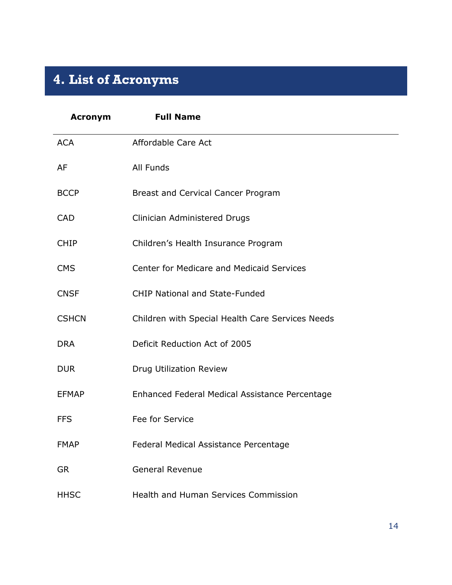# <span id="page-16-0"></span>**4. List of Acronyms**

| <b>Acronym</b> | <b>Full Name</b>                                 |
|----------------|--------------------------------------------------|
| <b>ACA</b>     | Affordable Care Act                              |
| AF             | All Funds                                        |
| <b>BCCP</b>    | Breast and Cervical Cancer Program               |
| <b>CAD</b>     | Clinician Administered Drugs                     |
| <b>CHIP</b>    | Children's Health Insurance Program              |
| <b>CMS</b>     | Center for Medicare and Medicaid Services        |
| <b>CNSF</b>    | <b>CHIP National and State-Funded</b>            |
| <b>CSHCN</b>   | Children with Special Health Care Services Needs |
| <b>DRA</b>     | Deficit Reduction Act of 2005                    |
| <b>DUR</b>     | Drug Utilization Review                          |
| <b>EFMAP</b>   | Enhanced Federal Medical Assistance Percentage   |
| <b>FFS</b>     | Fee for Service                                  |
| <b>FMAP</b>    | Federal Medical Assistance Percentage            |
| <b>GR</b>      | <b>General Revenue</b>                           |
| <b>HHSC</b>    | Health and Human Services Commission             |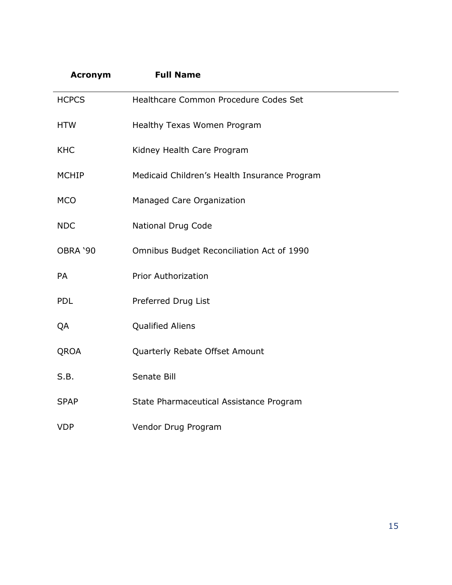| <b>Acronym</b> | <b>Full Name</b>                             |
|----------------|----------------------------------------------|
| <b>HCPCS</b>   | Healthcare Common Procedure Codes Set        |
| <b>HTW</b>     | Healthy Texas Women Program                  |
| <b>KHC</b>     | Kidney Health Care Program                   |
| <b>MCHIP</b>   | Medicaid Children's Health Insurance Program |
| <b>MCO</b>     | Managed Care Organization                    |
| <b>NDC</b>     | <b>National Drug Code</b>                    |
| OBRA '90       | Omnibus Budget Reconciliation Act of 1990    |
| PA             | <b>Prior Authorization</b>                   |
| <b>PDL</b>     | Preferred Drug List                          |
| QA             | <b>Qualified Aliens</b>                      |
| QROA           | Quarterly Rebate Offset Amount               |
| S.B.           | Senate Bill                                  |
| <b>SPAP</b>    | State Pharmaceutical Assistance Program      |
| <b>VDP</b>     | Vendor Drug Program                          |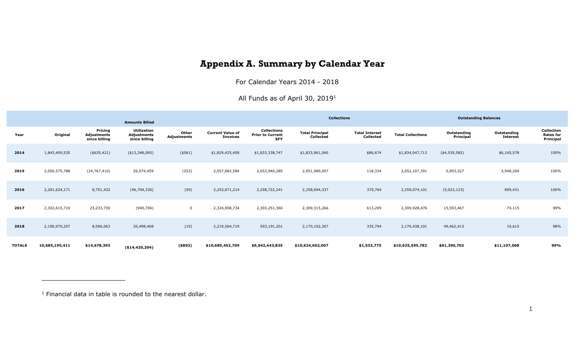## **Appendix A. Summary by Calendar Year**

For Calendar Years 2014 - 2018

All Funds as of April 30, 2019<sup>1</sup>

<span id="page-18-0"></span>

|               |                |                                         | <b>Amounts Billed</b>                              |                      |                                            |                                                             |                                     | <b>Collections</b>                 |                          | <b>Outstanding Balances</b> |                                |                                             |  |
|---------------|----------------|-----------------------------------------|----------------------------------------------------|----------------------|--------------------------------------------|-------------------------------------------------------------|-------------------------------------|------------------------------------|--------------------------|-----------------------------|--------------------------------|---------------------------------------------|--|
| Year          | Original       | Pricing<br>Adjustments<br>since billing | <b>Utilization</b><br>Adjustments<br>since billing | Other<br>Adjustments | <b>Current Value of</b><br><b>Invoices</b> | <b>Collections</b><br><b>Prior to Current</b><br><b>SFY</b> | <b>Total Principal</b><br>Collected | <b>Total Interest</b><br>Collected | <b>Total Collections</b> | Outstanding<br>Principal    | Outstanding<br><b>Interest</b> | Collection<br><b>Rates for</b><br>Principal |  |
| 2014          | 1,843,409,535  | $(*635,421)$                            | ( \$13,348,095)                                    | ( \$561)             | \$1,829,425,458                            | \$1,833,338,747                                             | \$1,833,961,040                     | \$86,674                           | \$1,834,047,713          | (4,535,582)                 | \$6,165,578                    | 100%                                        |  |
| 2015          | 2,056,575,788  | (24, 767, 410)                          | 26,074,459                                         | (253)                | 2,057,882,584                              | 2,053,940,285                                               | 2,051,989,057                       | 118,334                            | 2,052,107,391            | 5,893,527                   | 3,948,269                      | 100%                                        |  |
| 2016          | 2,291,624,171  | 8,751,432                               | (46, 704, 330)                                     | (59)                 | 2,253,671,214                              | 2,258,722,241                                               | 2,258,694,337                       | 379,764                            | 2,259,074,101            | (5,023,123)                 | 899,431                        | 100%                                        |  |
| 2017          | 2,302,615,710  | 23,233,730                              | (940, 706)                                         | $\mathbf 0$          | 2,324,908,734                              | 2,303,251,360                                               | 2,309,315,266                       | 613,209                            | 2,309,928,476            | 15,593,467                  | 74,115                         | 99%                                         |  |
| 2018          | 2,190,970,207  | 8,096,063                               | 20,498,468                                         | (19)                 | 2,219,564,719                              | 593,191,201                                                 | 2,170,102,307                       | 335,794                            | 2,170,438,101            | 49,462,413                  | 19,615                         | 98%                                         |  |
| <b>TOTALS</b> | 10,685,195,411 | \$14,678,393                            | ( \$14,420,204)                                    | ( \$892)             | \$10,685,452,709                           | \$9,042,443,835                                             | \$10,624,062,007                    | \$1,533,775                        | \$10,625,595,782         | \$61,390,702                | \$11,107,008                   | 99%                                         |  |

 $1$  Financial data in table is rounded to the nearest dollar.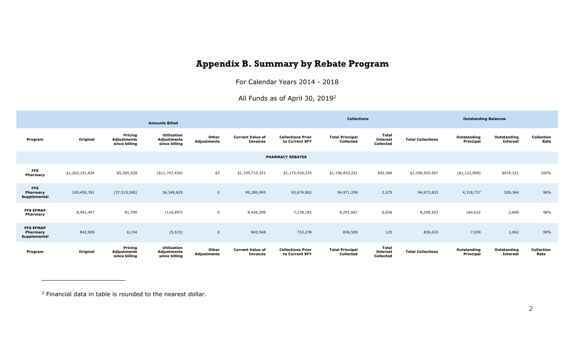## **Appendix B. Summary by Rebate Program**

For Calendar Years 2014 - 2018

All Funds as of April 30, 2019<sup>2</sup>

<span id="page-19-0"></span>

| <b>Amounts Billed</b>                               |                 |                                                |                                                    |                             |                                            | <b>Collections</b>                         |                                            |                                                     |                          | <b>Outstanding Balances</b> |                                |                           |
|-----------------------------------------------------|-----------------|------------------------------------------------|----------------------------------------------------|-----------------------------|--------------------------------------------|--------------------------------------------|--------------------------------------------|-----------------------------------------------------|--------------------------|-----------------------------|--------------------------------|---------------------------|
| Program                                             | Original        | Pricing<br>Adjustments<br>since billing        | <b>Utilization</b><br>Adjustments<br>since billing | Other<br><b>Adjustments</b> | <b>Current Value of</b><br><b>Invoices</b> | <b>Collections Prior</b><br>to Current SFY | <b>Total Principal</b><br><b>Collected</b> | Total<br><b>Interest</b><br><b>Collected</b>        | <b>Total Collections</b> | Outstanding<br>Principal    | Outstanding<br><b>Interest</b> | <b>Collection</b><br>Rate |
| <b>PHARMACY REBATES</b>                             |                 |                                                |                                                    |                             |                                            |                                            |                                            |                                                     |                          |                             |                                |                           |
| <b>FFS</b><br>Pharmacy                              | \$1,202,191,834 | \$5,265,928                                    | ( \$11,747,434)                                    | \$3                         | \$1,195,710,331                            | \$1,172,930,230                            | \$1,196,833,231                            | \$92,366                                            | \$1,196,925,597          | (\$1,122,900)               | \$619,331                      | 100%                      |
| <b>FFS</b><br>Pharmacy<br>Supplemental              | 100,450,761     | (37, 510, 595)                                 | 36,349,829                                         | $\mathbf{0}$                | 99,289,995                                 | 93,679,902                                 | 94,971,259                                 | 2,575                                               | 94,973,833               | 4,318,737                   | 559,364                        | 96%                       |
| <b>FFS EFMAP</b><br>Pharmacy                        | 8,491,497       | 81,799                                         | (116, 997)                                         | $\mathbf 0$                 | 8,456,299                                  | 7,178,182                                  | 8,291,667                                  | 6,836                                               | 8,298,503                | 164,632                     | 2,699                          | 98%                       |
| <b>FFS EFMAP</b><br><b>Pharmacy</b><br>Supplemental | 842,909         | 6,154                                          | (5, 515)                                           | $\mathbf 0$                 | 843,548                                    | 733,278                                    | 836,509                                    | 125                                                 | 836,633                  | 7,039                       | 1,062                          | 99%                       |
| Program                                             | Original        | Pricing<br><b>Adjustments</b><br>since billing | <b>Utilization</b><br>Adjustments<br>since billing | Other<br><b>Adjustments</b> | <b>Current Value of</b><br><b>Invoices</b> | <b>Collections Prior</b><br>to Current SFY | <b>Total Principal</b><br><b>Collected</b> | <b>Total</b><br><b>Interest</b><br><b>Collected</b> | <b>Total Collections</b> | Outstanding<br>Principal    | Outstanding<br><b>Interest</b> | Collection<br>Rate        |

<sup>2</sup> Financial data in table is rounded to the nearest dollar.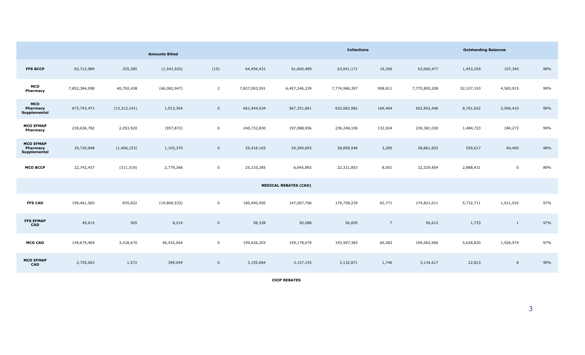|                                              |               |                | <b>Amounts Billed</b> |                |               |                              | <b>Outstanding Balances</b> |                 |               |            |              |     |
|----------------------------------------------|---------------|----------------|-----------------------|----------------|---------------|------------------------------|-----------------------------|-----------------|---------------|------------|--------------|-----|
| <b>FFS BCCP</b>                              | 65,712,989    | 325,385        | (1, 543, 925)         | (19)           | 64,494,431    | 61,660,489                   | 63,041,171                  | 19,306          | 63,060,477    | 1,453,259  | 107,340      | 98% |
| MCO<br>Pharmacy                              | 7,852,384,098 | 40,792,438     | (66,082,947)          | $\overline{2}$ | 7,827,093,591 | 6,457,246,239                | 7,774,986,397               | 908,811         | 7,775,895,208 | 52,107,193 | 4,583,915    | 99% |
| <b>MCO</b><br>Pharmacy<br>Supplemental       | 673,743,471   | (13, 312, 141) | 1,013,304             | $\overline{0}$ | 661,444,634   | 567,351,861                  | 652,682,982                 | 169,464         | 652,852,446   | 8,761,652  | 2,006,410    | 99% |
| <b>MCO EFMAP</b><br>Pharmacy                 | 239,636,782   | 2,053,920      | (957, 872)            | $\mathbf 0$    | 240,732,830   | 197,988,956                  | 239,248,106                 | 132,924         | 239,381,030   | 1,484,723  | 184,272      | 99% |
| <b>MCO EFMAP</b><br>Pharmacy<br>Supplemental | 29,720,948    | (1, 406, 153)  | 1,103,370             | $\overline{0}$ | 29,418,165    | 24,289,693                   | 28,858,548                  | 3,285           | 28,861,832    | 559,617    | 64,400       | 98% |
| <b>MCO BCCP</b>                              | 22,742,437    | (311, 519)     | 2,779,366             | $\mathbf{0}$   | 25,210,285    | 6,645,892                    | 22,321,853                  | 8,001           | 22,329,854    | 2,888,431  | $\mathbf 0$  | 89% |
|                                              |               |                |                       |                |               | <b>MEDICAL REBATES (CAD)</b> |                             |                 |               |            |              |     |
| <b>FFS CAD</b>                               | 199,461,560   | 835,922        | (19,806,533)          | $\overline{0}$ | 180,490,950   | 147,007,766                  | 174,758,239                 | 62,771          | 174,821,011   | 5,732,711  | 1,011,932    | 97% |
| <b>FFS EFMAP</b><br><b>CAD</b>               | 49,615        | 505            | 8,219                 | $\mathbf 0$    | 58,338        | 50,088                       | 56,605                      | $7\overline{ }$ | 56,612        | 1,733      | $\mathbf{1}$ | 97% |
| <b>MCO CAD</b>                               | 149,675,469   | 3,518,670      | 46,432,064            | $\mathbf 0$    | 199,626,203   | 159,178,679                  | 193,997,383                 | 65,583          | 194,062,966   | 5,628,820  | 1,926,574    | 97% |
| <b>MCO EFMAP</b><br>CAD                      | 2,755,063     | 1,572          | 399,049               | $\overline{0}$ | 3,155,684     | 3,157,155                    | 3,132,871                   | 1,746           | 3,134,617     | 22,813     | 8            | 99% |

**CHIP REBATES**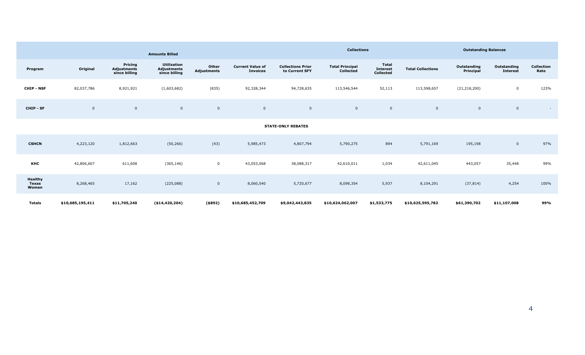|                                  |                  |                                                | <b>Amounts Billed</b>                                     |                      |                                            | <b>Collections</b>                         |                                     |                                                     |                          | <b>Outstanding Balances</b> |                                |                           |  |
|----------------------------------|------------------|------------------------------------------------|-----------------------------------------------------------|----------------------|--------------------------------------------|--------------------------------------------|-------------------------------------|-----------------------------------------------------|--------------------------|-----------------------------|--------------------------------|---------------------------|--|
| Program                          | Original         | Pricing<br><b>Adjustments</b><br>since billing | <b>Utilization</b><br><b>Adjustments</b><br>since billing | Other<br>Adjustments | <b>Current Value of</b><br><b>Invoices</b> | <b>Collections Prior</b><br>to Current SFY | <b>Total Principal</b><br>Collected | <b>Total</b><br><b>Interest</b><br><b>Collected</b> | <b>Total Collections</b> | Outstanding<br>Principal    | Outstanding<br><b>Interest</b> | <b>Collection</b><br>Rate |  |
| <b>CHIP - NSF</b>                | 82,037,786       | 8,921,921                                      | (1,603,682)                                               | (835)                | 92,328,344                                 | 94,728,635                                 | 113,546,544                         | 52,113                                              | 113,598,657              | (21, 218, 200)              | $\mathbf 0$                    | 123%                      |  |
| CHIP - SF                        | $\overline{0}$   | $\mathbf 0$                                    | $\overline{0}$                                            | $\mathbf 0$          | $\mathbf 0$                                | $\overline{0}$                             | $\mathbf 0$                         | $\mathbf{0}$                                        | $\mathbf{0}$             | $\overline{0}$              | $\overline{0}$                 | $\sim$                    |  |
| <b>STATE-ONLY REBATES</b>        |                  |                                                |                                                           |                      |                                            |                                            |                                     |                                                     |                          |                             |                                |                           |  |
| <b>CSHCN</b>                     | 4,223,120        | 1,812,663                                      | (50, 266)                                                 | (43)                 | 5,985,473                                  | 4,807,794                                  | 5,790,275                           | 894                                                 | 5,791,169                | 195,198                     | $\overline{0}$                 | 97%                       |  |
| KHC                              | 42,806,607       | 611,608                                        | (365, 146)                                                | $\mathbf 0$          | 43,053,068                                 | 38,088,317                                 | 42,610,011                          | 1,034                                               | 42,611,045               | 443,057                     | 35,448                         | 99%                       |  |
| Healthy<br><b>Texas</b><br>Women | 8,268,465        | 17,162                                         | (225,088)                                                 | $\overline{0}$       | 8,060,540                                  | 5,720,677                                  | 8,098,354                           | 5,937                                               | 8,104,291                | (37, 814)                   | 4,254                          | 100%                      |  |
| Totals                           | \$10,685,195,411 | \$11,705,240                                   | ( \$14,420,204)                                           | $($ \$892)           | \$10,685,452,709                           | \$9,042,443,835                            | \$10,624,062,007                    | \$1,533,775                                         | \$10,625,595,782         | \$61,390,702                | \$11,107,008                   | 99%                       |  |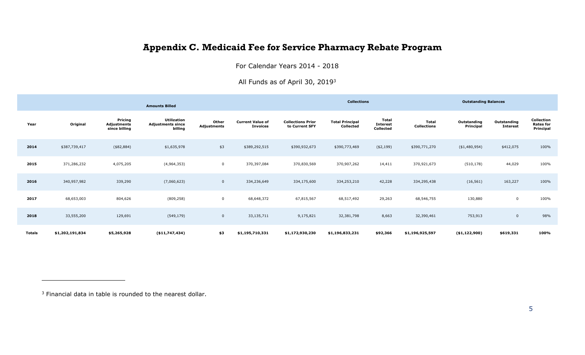## **Appendix C. Medicaid Fee for Service Pharmacy Rebate Program**

For Calendar Years 2014 - 2018

All Funds as of April 30, 2019<sup>3</sup>

<span id="page-22-0"></span>

|               |                 |                                         | <b>Amounts Billed</b>                                     |                      |                                            | <b>Collections</b>                         |                                     |                                       |                                    | <b>Outstanding Balances</b> |                                |                                                    |  |
|---------------|-----------------|-----------------------------------------|-----------------------------------------------------------|----------------------|--------------------------------------------|--------------------------------------------|-------------------------------------|---------------------------------------|------------------------------------|-----------------------------|--------------------------------|----------------------------------------------------|--|
| Year          | Original        | Pricing<br>Adjustments<br>since billing | <b>Utilization</b><br><b>Adjustments since</b><br>billing | Other<br>Adjustments | <b>Current Value of</b><br><b>Invoices</b> | <b>Collections Prior</b><br>to Current SFY | <b>Total Principal</b><br>Collected | Total<br><b>Interest</b><br>Collected | <b>Total</b><br><b>Collections</b> | Outstanding<br>Principal    | Outstanding<br><b>Interest</b> | <b>Collection</b><br><b>Rates for</b><br>Principal |  |
| 2014          | \$387,739,417   | $(*82, 884)$                            | \$1,635,978                                               | \$3                  | \$389,292,515                              | \$390,932,673                              | \$390,773,469                       | ( \$2,199)                            | \$390,771,270                      | ( \$1,480,954)              | \$412,075                      | 100%                                               |  |
| 2015          | 371,286,232     | 4,075,205                               | (4,964,353)                                               | $\mathbf 0$          | 370,397,084                                | 370,830,569                                | 370,907,262                         | 14,411                                | 370,921,673                        | (510, 178)                  | 44,029                         | 100%                                               |  |
| 2016          | 340,957,982     | 339,290                                 | (7,060,623)                                               | $\mathbf 0$          | 334,236,649                                | 334,175,600                                | 334,253,210                         | 42,228                                | 334,295,438                        | (16, 561)                   | 163,227                        | 100%                                               |  |
| 2017          | 68,653,003      | 804,626                                 | (809, 258)                                                | $\mathbf 0$          | 68,648,372                                 | 67,815,567                                 | 68,517,492                          | 29,263                                | 68,546,755                         | 130,880                     | $\mathbf 0$                    | 100%                                               |  |
| 2018          | 33,555,200      | 129,691                                 | (549, 179)                                                | $\mathbf 0$          | 33,135,711                                 | 9,175,821                                  | 32,381,798                          | 8,663                                 | 32,390,461                         | 753,913                     | $\mathbf 0$                    | 98%                                                |  |
| <b>Totals</b> | \$1,202,191,834 | \$5,265,928                             | ( \$11,747,434)                                           | \$3                  | \$1,195,710,331                            | \$1,172,930,230                            | \$1,196,833,231                     | \$92,366                              | \$1,196,925,597                    | ( \$1,122,900)              | \$619,331                      | 100%                                               |  |

<sup>&</sup>lt;sup>3</sup> Financial data in table is rounded to the nearest dollar.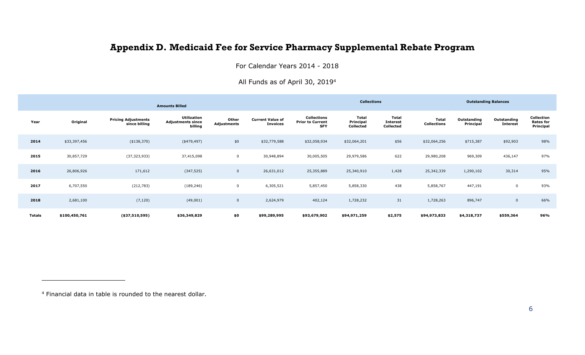## **Appendix D. Medicaid Fee for Service Pharmacy Supplemental Rebate Program**

For Calendar Years 2014 - 2018

#### All Funds as of April 30, 2019<sup>4</sup>

<span id="page-23-0"></span>

|               |               |                                             | <b>Amounts Billed</b>                                     |                      |                                            |                                                             | <b>Collections</b>                     |                                              |                                    |                          | <b>Outstanding Balances</b>    |                                             |
|---------------|---------------|---------------------------------------------|-----------------------------------------------------------|----------------------|--------------------------------------------|-------------------------------------------------------------|----------------------------------------|----------------------------------------------|------------------------------------|--------------------------|--------------------------------|---------------------------------------------|
| Year          | Original      | <b>Pricing Adjustments</b><br>since billing | <b>Utilization</b><br><b>Adjustments since</b><br>billing | Other<br>Adjustments | <b>Current Value of</b><br><b>Invoices</b> | <b>Collections</b><br><b>Prior to Current</b><br><b>SFY</b> | <b>Total</b><br>Principal<br>Collected | <b>Total</b><br><b>Interest</b><br>Collected | <b>Total</b><br><b>Collections</b> | Outstanding<br>Principal | Outstanding<br><b>Interest</b> | Collection<br><b>Rates for</b><br>Principal |
| 2014          | \$33,397,456  | $(*138,370)$                                | $(*479,497)$                                              | \$0\$                | \$32,779,588                               | \$32,058,934                                                | \$32,064,201                           | \$56                                         | \$32,064,256                       | \$715,387                | \$92,903                       | 98%                                         |
| 2015          | 30,857,729    | (37, 323, 933)                              | 37,415,098                                                | $\mathbf 0$          | 30,948,894                                 | 30,005,505                                                  | 29,979,586                             | 622                                          | 29,980,208                         | 969,309                  | 436,147                        | 97%                                         |
| 2016          | 26,806,926    | 171,612                                     | (347, 525)                                                | $\mathbf{0}$         | 26,631,012                                 | 25,355,889                                                  | 25,340,910                             | 1,428                                        | 25,342,339                         | 1,290,102                | 30,314                         | 95%                                         |
| 2017          | 6,707,550     | (212, 783)                                  | (189, 246)                                                | $\mathbf 0$          | 6,305,521                                  | 5,857,450                                                   | 5,858,330                              | 438                                          | 5,858,767                          | 447,191                  | $\mathbf 0$                    | 93%                                         |
| 2018          | 2,681,100     | (7, 120)                                    | (49,001)                                                  | $\mathbf{0}$         | 2,624,979                                  | 402,124                                                     | 1,728,232                              | 31                                           | 1,728,263                          | 896,747                  | $\mathbf 0$                    | 66%                                         |
| <b>Totals</b> | \$100,450,761 | ( \$37,510,595)                             | \$36,349,829                                              | \$0                  | \$99,289,995                               | \$93,679,902                                                | \$94,971,259                           | \$2,575                                      | \$94,973,833                       | \$4,318,737              | \$559,364                      | 96%                                         |

<sup>4</sup> Financial data in table is rounded to the nearest dollar.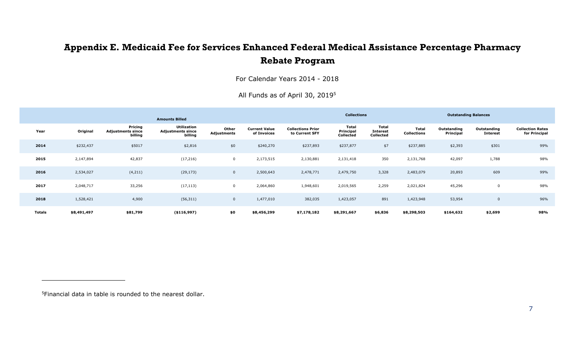## **Appendix E. Medicaid Fee for Services Enhanced Federal Medical Assistance Percentage Pharmacy Rebate Program**

For Calendar Years 2014 - 2018

|  | All Funds as of April 30, 2019 <sup>5</sup> |  |  |  |  |  |
|--|---------------------------------------------|--|--|--|--|--|
|--|---------------------------------------------|--|--|--|--|--|

<span id="page-24-0"></span>

|               |             |                                                | <b>Amounts Billed</b>                                     |                      |                                     |                                            | <b>Collections</b>                     |                                       |                             |                                 | <b>Outstanding Balances</b>    |                                          |
|---------------|-------------|------------------------------------------------|-----------------------------------------------------------|----------------------|-------------------------------------|--------------------------------------------|----------------------------------------|---------------------------------------|-----------------------------|---------------------------------|--------------------------------|------------------------------------------|
| Year          | Original    | Pricing<br><b>Adjustments since</b><br>billing | <b>Utilization</b><br><b>Adjustments since</b><br>billing | Other<br>Adjustments | <b>Current Value</b><br>of Invoices | <b>Collections Prior</b><br>to Current SFY | <b>Total</b><br>Principal<br>Collected | Total<br><b>Interest</b><br>Collected | Total<br><b>Collections</b> | Outstanding<br><b>Principal</b> | Outstanding<br><b>Interest</b> | <b>Collection Rates</b><br>for Principal |
| 2014          | \$232,437   | \$5017                                         | \$2,816                                                   | \$0                  | \$240,270                           | \$237,893                                  | \$237,877                              | \$7                                   | \$237,885                   | \$2,393                         | \$301                          | 99%                                      |
| 2015          | 2,147,894   | 42,837                                         | (17, 216)                                                 | $\mathbf 0$          | 2,173,515                           | 2,130,881                                  | 2,131,418                              | 350                                   | 2,131,768                   | 42,097                          | 1,788                          | 98%                                      |
| 2016          | 2,534,027   | (4, 211)                                       | (29, 173)                                                 | $\mathbf 0$          | 2,500,643                           | 2,478,771                                  | 2,479,750                              | 3,328                                 | 2,483,079                   | 20,893                          | 609                            | 99%                                      |
| 2017          | 2,048,717   | 33,256                                         | (17, 113)                                                 | 0                    | 2,064,860                           | 1,948,601                                  | 2,019,565                              | 2,259                                 | 2,021,824                   | 45,296                          |                                | 98%                                      |
| 2018          | 1,528,421   | 4,900                                          | (56, 311)                                                 | $\mathbf 0$          | 1,477,010                           | 382,035                                    | 1,423,057                              | 891                                   | 1,423,948                   | 53,954                          | 0                              | 96%                                      |
| <b>Totals</b> | \$8,491,497 | \$81,799                                       | ( \$116, 997)                                             | \$0                  | \$8,456,299                         | \$7,178,182                                | \$8,291,667                            | \$6,836                               | \$8,298,503                 | \$164,632                       | \$2,699                        | 98%                                      |

5Financial data in table is rounded to the nearest dollar.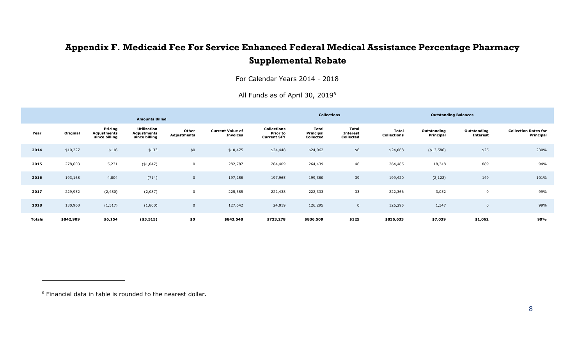## **Appendix F. Medicaid Fee For Service Enhanced Federal Medical Assistance Percentage Pharmacy Supplemental Rebate**

For Calendar Years 2014 - 2018

<span id="page-25-0"></span>

|                                          |                                | <b>Outstanding Balances</b> |                             |                                       | <b>Collections</b>              |                                               |                                            |                      | <b>Amounts Billed</b>                              |                                         |           |               |
|------------------------------------------|--------------------------------|-----------------------------|-----------------------------|---------------------------------------|---------------------------------|-----------------------------------------------|--------------------------------------------|----------------------|----------------------------------------------------|-----------------------------------------|-----------|---------------|
| <b>Collection Rates for</b><br>Principal | Outstanding<br><b>Interest</b> | Outstanding<br>Principal    | Total<br><b>Collections</b> | Total<br><b>Interest</b><br>Collected | Total<br>Principal<br>Collected | Collections<br>Prior to<br><b>Current SFY</b> | <b>Current Value of</b><br><b>Invoices</b> | Other<br>Adjustments | <b>Utilization</b><br>Adjustments<br>since billing | Pricing<br>Adjustments<br>since billing | Original  | Year          |
| 230%                                     | \$25                           | $(*13,586)$                 | \$24,068                    | \$6                                   | \$24,062                        | \$24,448                                      | \$10,475                                   | \$0                  | \$133                                              | \$116                                   | \$10,227  | 2014          |
| 94%                                      | 889                            | 18,348                      | 264,485                     | 46                                    | 264,439                         | 264,409                                       | 282,787                                    | $\mathbf 0$          | $(*1,047)$                                         | 5,231                                   | 278,603   | 2015          |
| 101%                                     | 149                            | (2, 122)                    | 199,420                     | 39                                    | 199,380                         | 197,965                                       | 197,258                                    | $\overline{0}$       | (714)                                              | 4,804                                   | 193,168   | 2016          |
| 99%                                      | 0                              | 3,052                       | 222,366                     | 33                                    | 222,333                         | 222,438                                       | 225,385                                    | $\mathbf 0$          | (2,087)                                            | (2,480)                                 | 229,952   | 2017          |
| 99%                                      | $\overline{0}$                 | 1,347                       | 126,295                     | $\mathbf 0$                           | 126,295                         | 24,019                                        | 127,642                                    | $\overline{0}$       | (1,800)                                            | (1, 517)                                | 130,960   | 2018          |
| 99%                                      | \$1,062                        | \$7,039                     | \$836,633                   | \$125                                 | \$836,509                       | \$733,278                                     | \$843,548                                  | \$0                  | $(*5,515)$                                         | \$6,154                                 | \$842,909 | <b>Totals</b> |

All Funds as of April 30, 2019<sup>6</sup>

<sup>6</sup> Financial data in table is rounded to the nearest dollar.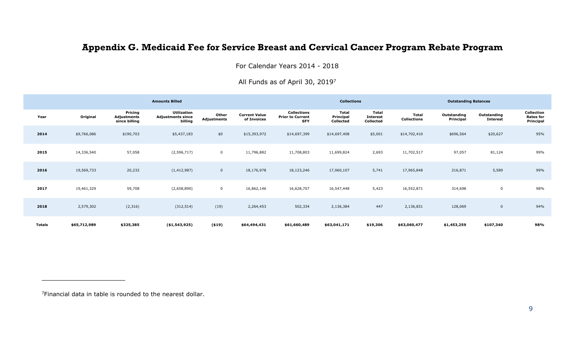## **Appendix G. Medicaid Fee for Service Breast and Cervical Cancer Program Rebate Program**

For Calendar Years 2014 - 2018

#### All Funds as of April 30, 2019<sup>7</sup>

<span id="page-26-0"></span>

|               |              |                                         | <b>Amounts Billed</b>                              |                      |                                     |                                                             | <b>Collections</b>              |                                       |                                    | <b>Outstanding Balances</b> |                                |                                             |
|---------------|--------------|-----------------------------------------|----------------------------------------------------|----------------------|-------------------------------------|-------------------------------------------------------------|---------------------------------|---------------------------------------|------------------------------------|-----------------------------|--------------------------------|---------------------------------------------|
| Year          | Original     | Pricing<br>Adjustments<br>since billing | Utilization<br><b>Adjustments since</b><br>billing | Other<br>Adjustments | <b>Current Value</b><br>of Invoices | <b>Collections</b><br><b>Prior to Current</b><br><b>SFY</b> | Total<br>Principal<br>Collected | Total<br><b>Interest</b><br>Collected | <b>Total</b><br><b>Collections</b> | Outstanding<br>Principal    | Outstanding<br><b>Interest</b> | Collection<br><b>Rates for</b><br>Principal |
| 2014          | \$9,766,086  | \$190,703                               | \$5,437,183                                        | \$0                  | \$15,393,972                        | \$14,697,399                                                | \$14,697,408                    | \$5,001                               | \$14,702,410                       | \$696,564                   | \$20,627                       | 95%                                         |
| 2015          | 14,336,540   | 57,058                                  | (2, 596, 717)                                      | $\mathbf 0$          | 11,796,882                          | 11,708,803                                                  | 11,699,824                      | 2,693                                 | 11,702,517                         | 97,057                      | 81,124                         | 99%                                         |
| 2016          | 19,569,733   | 20,232                                  | (1, 412, 987)                                      | $\overline{0}$       | 18,176,978                          | 18,123,246                                                  | 17,960,107                      | 5,741                                 | 17,965,848                         | 216,871                     | 5,589                          | 99%                                         |
| 2017          | 19,461,329   | 59,708                                  | (2,658,890)                                        | $\overline{0}$       | 16,862,146                          | 16,628,707                                                  | 16,547,448                      | 5,423                                 | 16,552,871                         | 314,698                     | 0                              | 98%                                         |
| 2018          | 2,579,302    | (2,316)                                 | (312, 514)                                         | (19)                 | 2,264,453                           | 502,334                                                     | 2,136,384                       | 447                                   | 2,136,831                          | 128,069                     | $\mathbf 0$                    | 94%                                         |
| <b>Totals</b> | \$65,712,989 | \$325,385                               | ( \$1,543,925 )                                    | (519)                | \$64,494,431                        | \$61,660,489                                                | \$63,041,171                    | \$19,306                              | \$63,060,477                       | \$1,453,259                 | \$107,340                      | 98%                                         |

7Financial data in table is rounded to the nearest dollar.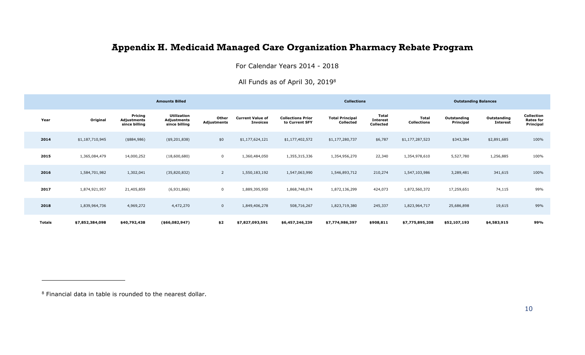## **Appendix H. Medicaid Managed Care Organization Pharmacy Rebate Program**

For Calendar Years 2014 - 2018

All Funds as of April 30, 2019<sup>8</sup>

<span id="page-27-0"></span>

|        |                 |                                         | <b>Amounts Billed</b>                       |                      |                                            |                                            | <b>Collections</b>                  |                                       |                                    | <b>Outstanding Balances</b> |                                |                                                    |
|--------|-----------------|-----------------------------------------|---------------------------------------------|----------------------|--------------------------------------------|--------------------------------------------|-------------------------------------|---------------------------------------|------------------------------------|-----------------------------|--------------------------------|----------------------------------------------------|
| Year   | Original        | Pricing<br>Adjustments<br>since billing | Utilization<br>Adjustments<br>since billing | Other<br>Adjustments | <b>Current Value of</b><br><b>Invoices</b> | <b>Collections Prior</b><br>to Current SFY | <b>Total Principal</b><br>Collected | Total<br><b>Interest</b><br>Collected | <b>Total</b><br><b>Collections</b> | Outstanding<br>Principal    | Outstanding<br><b>Interest</b> | <b>Collection</b><br><b>Rates for</b><br>Principal |
| 2014   | \$1,187,710,945 | (\$884,986)                             | ( \$9, 201, 838)                            | \$0                  | \$1,177,624,121                            | \$1,177,402,572                            | \$1,177,280,737                     | \$6,787                               | \$1,177,287,523                    | \$343,384                   | \$2,891,685                    | 100%                                               |
| 2015   | 1,365,084,479   | 14,000,252                              | (18,600,680)                                | $\mathbf 0$          | 1,360,484,050                              | 1,355,315,336                              | 1,354,956,270                       | 22,340                                | 1,354,978,610                      | 5,527,780                   | 1,256,885                      | 100%                                               |
| 2016   | 1,584,701,982   | 1,302,041                               | (35,820,832)                                | $\overline{2}$       | 1,550,183,192                              | 1,547,063,990                              | 1,546,893,712                       | 210,274                               | 1,547,103,986                      | 3,289,481                   | 341,615                        | 100%                                               |
| 2017   | 1,874,921,957   | 21,405,859                              | (6,931,866)                                 | 0                    | 1,889,395,950                              | 1,868,748,074                              | 1,872,136,299                       | 424,073                               | 1,872,560,372                      | 17,259,651                  | 74,115                         | 99%                                                |
| 2018   | 1,839,964,736   | 4,969,272                               | 4,472,270                                   | $\mathbf{0}$         | 1,849,406,278                              | 508,716,267                                | 1,823,719,380                       | 245,337                               | 1,823,964,717                      | 25,686,898                  | 19,615                         | 99%                                                |
| Totals | \$7,852,384,098 | \$40,792,438                            | ( \$66,082,947)                             | \$2                  | \$7,827,093,591                            | \$6,457,246,239                            | \$7,774,986,397                     | \$908,811                             | \$7,775,895,208                    | \$52,107,193                | \$4,583,915                    | 99%                                                |

<sup>8</sup> Financial data in table is rounded to the nearest dollar.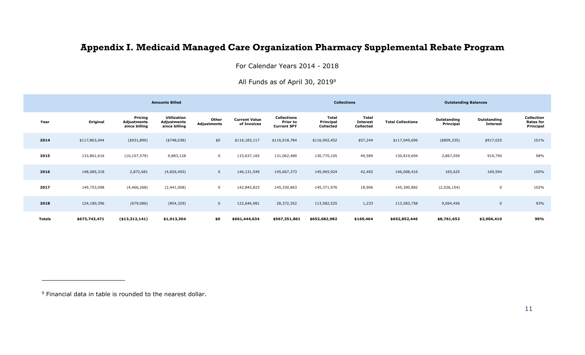## **Appendix I. Medicaid Managed Care Organization Pharmacy Supplemental Rebate Program**

For Calendar Years 2014 - 2018

#### All Funds as of April 30, 2019<sup>9</sup>

<span id="page-28-0"></span>

|               |               |                                         | <b>Amounts Billed</b>                              |                             |                                     |                                                             |                                 | <b>Collections</b>                    |                          | <b>Outstanding Balances</b> |                                |                                             |
|---------------|---------------|-----------------------------------------|----------------------------------------------------|-----------------------------|-------------------------------------|-------------------------------------------------------------|---------------------------------|---------------------------------------|--------------------------|-----------------------------|--------------------------------|---------------------------------------------|
| Year          | Original      | Pricing<br>Adjustments<br>since billing | <b>Utilization</b><br>Adjustments<br>since billing | Other<br><b>Adjustments</b> | <b>Current Value</b><br>of Invoices | <b>Collections</b><br><b>Prior to</b><br><b>Current SFY</b> | Total<br>Principal<br>Collected | Total<br><b>Interest</b><br>Collected | <b>Total Collections</b> | Outstanding<br>Principal    | Outstanding<br><b>Interest</b> | Collection<br><b>Rates for</b><br>Principal |
| 2014          | \$117,863,044 | ( \$931, 890)                           | $(*748,038)$                                       | \$0                         | \$116,183,117                       | \$116,918,784                                               | \$116,992,452                   | \$57,244                              | \$117,049,696            | $(*809,335)$                | \$917,025                      | 101%                                        |
| 2015          | 133,861,616   | (10, 107, 579)                          | 9,883,128                                          | $\mathbf 0$                 | 133,637,165                         | 131,062,489                                                 | 130,770,105                     | 49,589                                | 130,819,694              | 2,867,059                   | 919,790                        | 98%                                         |
| 2016          | 148,085,318   | 2,872,681                               | (4,826,450)                                        | $\mathbf{0}$                | 146,131,549                         | 145,667,373                                                 | 145,965,924                     | 42,492                                | 146,008,416              | 165,625                     | 169,594                        | 100%                                        |
| 2017          | 149,753,098   | (4,466,268)                             | (2,441,008)                                        | $\mathbf 0$                 | 142,845,823                         | 145,330,863                                                 | 145,371,976                     | 18,906                                | 145,390,882              | (2,526,154)                 | $\mathbf 0$                    | 102%                                        |
| 2018          | 124,180,396   | (679, 086)                              | (854, 329)                                         | $\mathbf 0$                 | 122,646,981                         | 28,372,352                                                  | 113,582,525                     | 1,233                                 | 113,583,758              | 9,064,456                   | $\overline{0}$                 | 93%                                         |
| <b>Totals</b> | \$673,743,471 | ( \$13,312,141)                         | \$1,013,304                                        | \$0                         | \$661,444,634                       | \$567,351,861                                               | \$652,682,982                   | \$169,464                             | \$652,852,446            | \$8,761,652                 | \$2,006,410                    | 99%                                         |

<sup>9</sup> Financial data in table is rounded to the nearest dollar.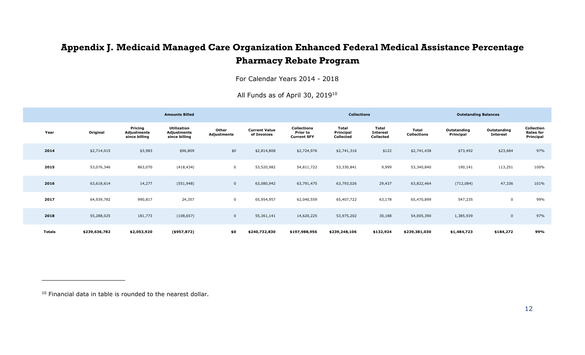## **Appendix J. Medicaid Managed Care Organization Enhanced Federal Medical Assistance Percentage Pharmacy Rebate Program**

For Calendar Years 2014 - 2018

All Funds as of April 30, 2019<sup>10</sup>

<span id="page-29-0"></span>

|               |               |                                         | <b>Amounts Billed</b>                       |                      |                                     |                                                      | <b>Collections</b>              |                                       |                             | <b>Outstanding Balances</b> |                                |                                             |
|---------------|---------------|-----------------------------------------|---------------------------------------------|----------------------|-------------------------------------|------------------------------------------------------|---------------------------------|---------------------------------------|-----------------------------|-----------------------------|--------------------------------|---------------------------------------------|
| Year          | Original      | Pricing<br>Adjustments<br>since billing | Utilization<br>Adjustments<br>since billing | Other<br>Adjustments | <b>Current Value</b><br>of Invoices | <b>Collections</b><br>Prior to<br><b>Current SFY</b> | Total<br>Principal<br>Collected | Total<br><b>Interest</b><br>Collected | Total<br><b>Collections</b> | Outstanding<br>Principal    | Outstanding<br><b>Interest</b> | Collection<br><b>Rates for</b><br>Principal |
| 2014          | \$2,714,015   | \$3,983                                 | \$96,809                                    | \$0                  | \$2,814,808                         | \$2,724,976                                          | \$2,741,316                     | \$122                                 | \$2,741,438                 | \$73,492                    | \$23,684                       | 97%                                         |
| 2015          | 53,076,346    | 863,070                                 | (418, 434)                                  | $\mathbf 0$          | 53,520,982                          | 54,811,722                                           | 53,330,841                      | 9,999                                 | 53,340,840                  | 190,141                     | 113,251                        | 100%                                        |
| 2016          | 63,618,614    | 14,277                                  | (551, 948)                                  | $\mathbf 0$          | 63,080,942                          | 63,791,475                                           | 63,793,026                      | 29,437                                | 63,822,464                  | (712, 084)                  | 47,336                         | 101%                                        |
| 2017          | 64,939,782    | 990,817                                 | 24,357                                      | $\mathbf 0$          | 65,954,957                          | 62,040,559                                           | 65,407,722                      | 63,178                                | 65,470,899                  | 547,235                     | $\overline{0}$                 | 99%                                         |
| 2018          | 55,288,025    | 181,773                                 | (108, 657)                                  | $\overline{0}$       | 55,361,141                          | 14,620,225                                           | 53,975,202                      | 30,188                                | 54,005,390                  | 1,385,939                   | $\overline{0}$                 | 97%                                         |
| <b>Totals</b> | \$239,636,782 | \$2,053,920                             | $($ \$957,872)                              | \$0                  | \$240,732,830                       | \$197,988,956                                        | \$239,248,106                   | \$132,924                             | \$239,381,030               | \$1,484,723                 | \$184,272                      | 99%                                         |

<sup>&</sup>lt;sup>10</sup> Financial data in table is rounded to the nearest dollar.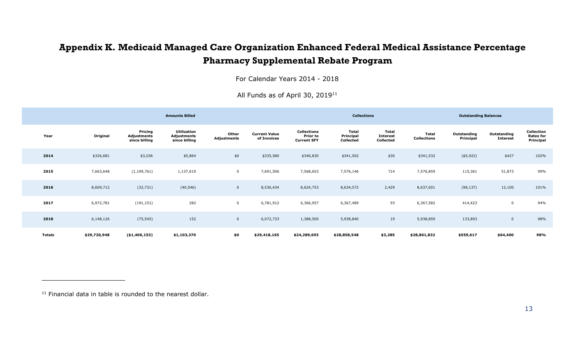## **Appendix K. Medicaid Managed Care Organization Enhanced Federal Medical Assistance Percentage Pharmacy Supplemental Rebate Program**

For Calendar Years 2014 - 2018

<span id="page-30-0"></span>

|        |              |                                                | <b>Amounts Billed</b>                              |                      |                                     |                                                             | <b>Collections</b>                     |                                       |                                    | <b>Outstanding Balances</b> |                                |                                             |
|--------|--------------|------------------------------------------------|----------------------------------------------------|----------------------|-------------------------------------|-------------------------------------------------------------|----------------------------------------|---------------------------------------|------------------------------------|-----------------------------|--------------------------------|---------------------------------------------|
| Year   | Original     | Pricing<br><b>Adjustments</b><br>since billing | <b>Utilization</b><br>Adjustments<br>since billing | Other<br>Adjustments | <b>Current Value</b><br>of Invoices | <b>Collections</b><br><b>Prior to</b><br><b>Current SFY</b> | <b>Total</b><br>Principal<br>Collected | Total<br><b>Interest</b><br>Collected | <b>Total</b><br><b>Collections</b> | Outstanding<br>Principal    | Outstanding<br><b>Interest</b> | Collection<br><b>Rates for</b><br>Principal |
| 2014   | \$326,681    | \$3,036                                        | \$5,864                                            | \$0                  | \$335,580                           | \$340,830                                                   | \$341,502                              | \$30                                  | \$341,532                          | (\$5,922)                   | \$427                          | 102%                                        |
| 2015   | 7,663,648    | (1, 109, 761)                                  | 1,137,619                                          | $\mathbf 0$          | 7,691,506                           | 7,568,653                                                   | 7,576,146                              | 714                                   | 7,576,859                          | 115,361                     | 51,873                         | 99%                                         |
| 2016   | 8,609,712    | (32, 731)                                      | (40, 546)                                          | $\overline{0}$       | 8,536,434                           | 8,624,753                                                   | 8,634,572                              | 2,429                                 | 8,637,001                          | (98, 137)                   | 12,100                         | 101%                                        |
| 2017   | 6,972,781    | (191, 151)                                     | 282                                                | $\mathbf 0$          | 6,781,912                           | 6,366,957                                                   | 6,367,489                              | 93                                    | 6,367,582                          | 414,423                     | $\mathbf 0$                    | 94%                                         |
| 2018   | 6,148,126    | (75, 545)                                      | 152                                                | $\overline{0}$       | 6,072,733                           | 1,388,500                                                   | 5,938,840                              | 19                                    | 5,938,859                          | 133,893                     | $\mathbf 0$                    | 98%                                         |
| Totals | \$29,720,948 | ( \$1,406,153)                                 | \$1,103,370                                        | \$0                  | \$29,418,165                        | \$24,289,693                                                | \$28,858,548                           | \$3,285                               | \$28,861,832                       | \$559,617                   | \$64,400                       | 98%                                         |

All Funds as of April 30, 2019<sup>11</sup>

<sup>11</sup> Financial data in table is rounded to the nearest dollar.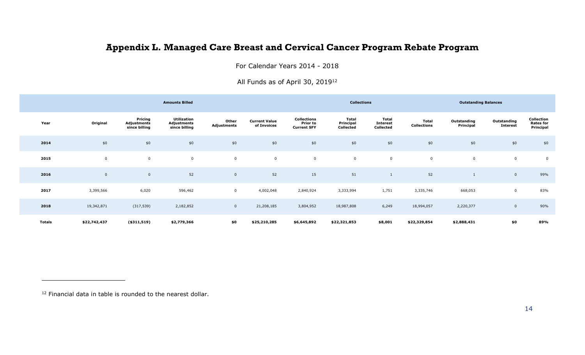## **Appendix L. Managed Care Breast and Cervical Cancer Program Rebate Program**

For Calendar Years 2014 - 2018

All Funds as of April 30, 2019<sup>12</sup>

<span id="page-31-0"></span>

|        |              |                                         | <b>Amounts Billed</b>                       |                      |                                     |                                               | <b>Collections</b>              |                                       |                             | <b>Outstanding Balances</b> |                                |                                             |
|--------|--------------|-----------------------------------------|---------------------------------------------|----------------------|-------------------------------------|-----------------------------------------------|---------------------------------|---------------------------------------|-----------------------------|-----------------------------|--------------------------------|---------------------------------------------|
| Year   | Original     | Pricing<br>Adjustments<br>since billing | Utilization<br>Adjustments<br>since billing | Other<br>Adjustments | <b>Current Value</b><br>of Invoices | Collections<br>Prior to<br><b>Current SFY</b> | Total<br>Principal<br>Collected | Total<br><b>Interest</b><br>Collected | Total<br><b>Collections</b> | Outstanding<br>Principal    | Outstanding<br><b>Interest</b> | Collection<br><b>Rates for</b><br>Principal |
| 2014   | \$0          | \$0                                     | \$0                                         | \$0                  | \$0                                 | \$0                                           | \$0                             | \$0                                   | \$0                         | \$0                         | \$0                            | \$0                                         |
| 2015   | $\mathbf 0$  | $\pmb{0}$                               | $\mathbf 0$                                 | $\mathbf 0$          | $\mathbf 0$                         | $\mathsf 0$                                   | 0                               | $\mathbf 0$                           | $\overline{0}$              | $\mathbf 0$                 | $\pmb{0}$                      | $\mathbf 0$                                 |
| 2016   | $\mathbf 0$  | $\mathbf 0$                             | 52                                          | $\mathbf 0$          | 52                                  | 15                                            | 51                              |                                       | 52                          |                             | $\overline{0}$                 | 99%                                         |
| 2017   | 3,399,566    | 6,020                                   | 596,462                                     | $\mathbf 0$          | 4,002,048                           | 2,840,924                                     | 3,333,994                       | 1,751                                 | 3,335,746                   | 668,053                     | $\mathbf 0$                    | 83%                                         |
| 2018   | 19,342,871   | (317, 539)                              | 2,182,852                                   | $\mathbf 0$          | 21,208,185                          | 3,804,952                                     | 18,987,808                      | 6,249                                 | 18,994,057                  | 2,220,377                   | $\mathbf 0$                    | 90%                                         |
| Totals | \$22,742,437 | ( \$311, 519)                           | \$2,779,366                                 | \$0                  | \$25,210,285                        | \$6,645,892                                   | \$22,321,853                    | \$8,001                               | \$22,329,854                | \$2,888,431                 | \$0                            | 89%                                         |

<sup>&</sup>lt;sup>12</sup> Financial data in table is rounded to the nearest dollar.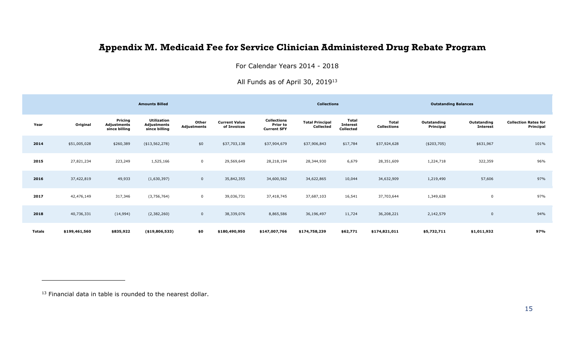## **Appendix M. Medicaid Fee for Service Clinician Administered Drug Rebate Program**

For Calendar Years 2014 - 2018

All Funds as of April 30, 2019<sup>13</sup>

<span id="page-32-0"></span>

|               |               |                                         | <b>Amounts Billed</b>                              |                      |                                     |                                                             | <b>Collections</b>                  |                                              |                      | <b>Outstanding Balances</b> |                                |                                          |
|---------------|---------------|-----------------------------------------|----------------------------------------------------|----------------------|-------------------------------------|-------------------------------------------------------------|-------------------------------------|----------------------------------------------|----------------------|-----------------------------|--------------------------------|------------------------------------------|
| Year          | Original      | Pricing<br>Adjustments<br>since billing | <b>Utilization</b><br>Adjustments<br>since billing | Other<br>Adjustments | <b>Current Value</b><br>of Invoices | <b>Collections</b><br><b>Prior to</b><br><b>Current SFY</b> | <b>Total Principal</b><br>Collected | <b>Total</b><br><b>Interest</b><br>Collected | Total<br>Collections | Outstanding<br>Principal    | Outstanding<br><b>Interest</b> | <b>Collection Rates for</b><br>Principal |
| 2014          | \$51,005,028  | \$260,389                               | ( \$13,562,278)                                    | \$0                  | \$37,703,138                        | \$37,904,679                                                | \$37,906,843                        | \$17,784                                     | \$37,924,628         | $(*203,705)$                | \$631,967                      | 101%                                     |
| 2015          | 27,821,234    | 223,249                                 | 1,525,166                                          | $\mathbf 0$          | 29,569,649                          | 28,218,194                                                  | 28,344,930                          | 6,679                                        | 28,351,609           | 1,224,718                   | 322,359                        | 96%                                      |
| 2016          | 37,422,819    | 49,933                                  | (1,630,397)                                        | $\mathbf{0}$         | 35,842,355                          | 34,600,562                                                  | 34,622,865                          | 10,044                                       | 34,632,909           | 1,219,490                   | 57,606                         | 97%                                      |
| 2017          | 42,476,149    | 317,346                                 | (3,756,764)                                        | $\mathbf 0$          | 39,036,731                          | 37,418,745                                                  | 37,687,103                          | 16,541                                       | 37,703,644           | 1,349,628                   | 0                              | 97%                                      |
| 2018          | 40,736,331    | (14,994)                                | (2,382,260)                                        | $\mathbf{0}$         | 38,339,076                          | 8,865,586                                                   | 36,196,497                          | 11,724                                       | 36,208,221           | 2,142,579                   | $\mathbf 0$                    | 94%                                      |
| <b>Totals</b> | \$199,461,560 | \$835,922                               | ( \$19,806,533)                                    | \$0                  | \$180,490,950                       | \$147,007,766                                               | \$174,758,239                       | \$62,771                                     | \$174,821,011        | \$5,732,711                 | \$1,011,932                    | 97%                                      |

<sup>13</sup> Financial data in table is rounded to the nearest dollar.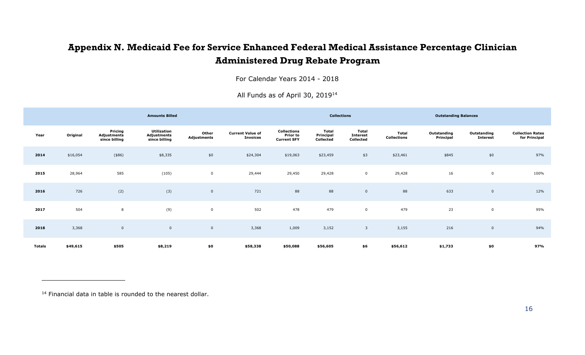## **Appendix N. Medicaid Fee for Service Enhanced Federal Medical Assistance Percentage Clinician Administered Drug Rebate Program**

For Calendar Years 2014 - 2018

<span id="page-33-0"></span>

|               |          |                                         | <b>Amounts Billed</b>                       |                      |                                            |                                                      | <b>Collections</b>                     |                                              |                                    | <b>Outstanding Balances</b> |                                |                                          |
|---------------|----------|-----------------------------------------|---------------------------------------------|----------------------|--------------------------------------------|------------------------------------------------------|----------------------------------------|----------------------------------------------|------------------------------------|-----------------------------|--------------------------------|------------------------------------------|
| Year          | Original | Pricing<br>Adjustments<br>since billing | Utilization<br>Adjustments<br>since billing | Other<br>Adjustments | <b>Current Value of</b><br><b>Invoices</b> | Collections<br><b>Prior to</b><br><b>Current SFY</b> | <b>Total</b><br>Principal<br>Collected | <b>Total</b><br><b>Interest</b><br>Collected | <b>Total</b><br><b>Collections</b> | Outstanding<br>Principal    | Outstanding<br><b>Interest</b> | <b>Collection Rates</b><br>for Principal |
| 2014          | \$16,054 | $(*86)$                                 | \$8,335                                     | \$0                  | \$24,304                                   | \$19,063                                             | \$23,459                               | \$3                                          | \$23,461                           | \$845                       | \$0                            | 97%                                      |
| 2015          | 28,964   | 585                                     | (105)                                       | $\pmb{0}$            | 29,444                                     | 29,450                                               | 29,428                                 | $\mathbf 0$                                  | 29,428                             | 16                          | $\mathsf 0$                    | 100%                                     |
| 2016          | 726      | (2)                                     | (3)                                         | $\mathbf 0$          | 721                                        | 88                                                   | 88                                     | $\mathbf 0$                                  | 88                                 | 633                         | $\mathbf 0$                    | 12%                                      |
| 2017          | 504      | 8                                       | (9)                                         | $\pmb{0}$            | 502                                        | 478                                                  | 479                                    | $\mathsf 0$                                  | 479                                | 23                          | $\mathbf 0$                    | 95%                                      |
| 2018          | 3,368    | $\overline{0}$                          | $\mathsf{O}\xspace$                         | $\mathbf 0$          | 3,368                                      | 1,009                                                | 3,152                                  | 3                                            | 3,155                              | 216                         | $\mathbf 0$                    | 94%                                      |
| <b>Totals</b> | \$49,615 | \$505                                   | \$8,219                                     | \$0                  | \$58,338                                   | \$50,088                                             | \$56,605                               | \$6                                          | \$56,612                           | \$1,733                     | \$0                            | 97%                                      |

All Funds as of April 30, 2019<sup>14</sup>

<sup>14</sup> Financial data in table is rounded to the nearest dollar.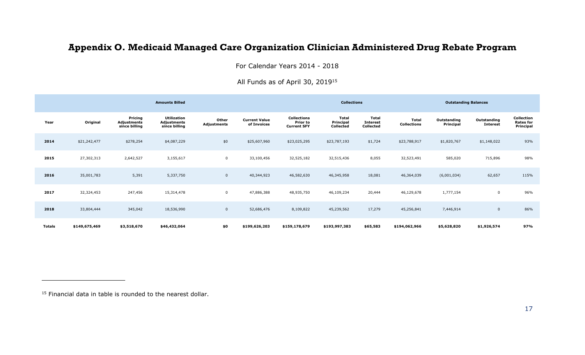## **Appendix O. Medicaid Managed Care Organization Clinician Administered Drug Rebate Program**

For Calendar Years 2014 - 2018

All Funds as of April 30, 2019<sup>15</sup>

<span id="page-34-0"></span>

|               |               |                                         | <b>Amounts Billed</b>                                     |                      |                                     |                                                             | <b>Collections</b>              |                                       |                                    | <b>Outstanding Balances</b> |                                |                                             |
|---------------|---------------|-----------------------------------------|-----------------------------------------------------------|----------------------|-------------------------------------|-------------------------------------------------------------|---------------------------------|---------------------------------------|------------------------------------|-----------------------------|--------------------------------|---------------------------------------------|
| Year          | Original      | Pricing<br>Adjustments<br>since billing | <b>Utilization</b><br><b>Adjustments</b><br>since billing | Other<br>Adjustments | <b>Current Value</b><br>of Invoices | <b>Collections</b><br><b>Prior to</b><br><b>Current SFY</b> | Total<br>Principal<br>Collected | Total<br><b>Interest</b><br>Collected | <b>Total</b><br><b>Collections</b> | Outstanding<br>Principal    | Outstanding<br><b>Interest</b> | Collection<br><b>Rates for</b><br>Principal |
| 2014          | \$21,242,477  | \$278,254                               | \$4,087,229                                               | \$0                  | \$25,607,960                        | \$23,025,295                                                | \$23,787,193                    | \$1,724                               | \$23,788,917                       | \$1,820,767                 | \$1,148,022                    | 93%                                         |
| 2015          | 27,302,313    | 2,642,527                               | 3,155,617                                                 | $\mathsf{O}$         | 33,100,456                          | 32,525,182                                                  | 32,515,436                      | 8,055                                 | 32,523,491                         | 585,020                     | 715,896                        | 98%                                         |
| 2016          | 35,001,783    | 5,391                                   | 5,337,750                                                 | $\overline{0}$       | 40,344,923                          | 46,582,630                                                  | 46,345,958                      | 18,081                                | 46,364,039                         | (6,001,034)                 | 62,657                         | 115%                                        |
| 2017          | 32,324,453    | 247,456                                 | 15,314,478                                                |                      | 47,886,388                          | 48,935,750                                                  | 46,109,234                      | 20,444                                | 46,129,678                         | 1,777,154                   | $\mathbf 0$                    | 96%                                         |
| 2018          | 33,804,444    | 345,042                                 | 18,536,990                                                | $\mathbf 0$          | 52,686,476                          | 8,109,822                                                   | 45,239,562                      | 17,279                                | 45,256,841                         | 7,446,914                   | $\mathbf 0$                    | 86%                                         |
| <b>Totals</b> | \$149,675,469 | \$3,518,670                             | \$46,432,064                                              | \$0                  | \$199,626,203                       | \$159,178,679                                               | \$193,997,383                   | \$65,583                              | \$194,062,966                      | \$5,628,820                 | \$1,926,574                    | 97%                                         |

<sup>&</sup>lt;sup>15</sup> Financial data in table is rounded to the nearest dollar.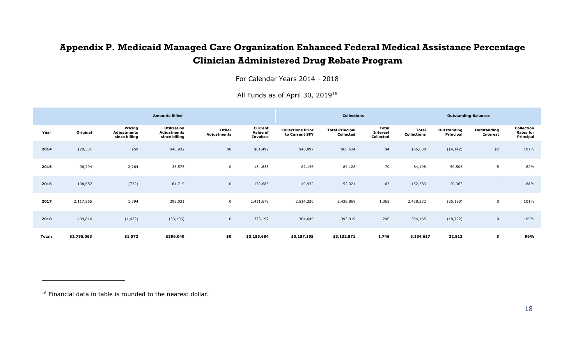## **Appendix P. Medicaid Managed Care Organization Enhanced Federal Medical Assistance Percentage Clinician Administered Drug Rebate Program**

For Calendar Years 2014 - 2018

<span id="page-35-0"></span>

|               |             |                                         | <b>Amounts Billed</b>                              |                      | <b>Collections</b>                     |                                            |                                     | <b>Outstanding Balances</b>                         |                                    |                          |                                |                                             |
|---------------|-------------|-----------------------------------------|----------------------------------------------------|----------------------|----------------------------------------|--------------------------------------------|-------------------------------------|-----------------------------------------------------|------------------------------------|--------------------------|--------------------------------|---------------------------------------------|
| Year          | Original    | Pricing<br>Adjustments<br>since billing | <b>Utilization</b><br>Adjustments<br>since billing | Other<br>Adjustments | Current<br>Value of<br><b>Invoices</b> | <b>Collections Prior</b><br>to Current SFY | <b>Total Principal</b><br>Collected | <b>Total</b><br><b>Interest</b><br><b>Collected</b> | <b>Total</b><br><b>Collections</b> | Outstanding<br>Principal | Outstanding<br><b>Interest</b> | Collection<br><b>Rates for</b><br>Principal |
| 2014          | \$20,501    | \$59                                    | \$40,932                                           | \$0                  | \$61,492                               | \$46,097                                   | \$65,634                            | \$4                                                 | \$65,638                           | $(*4,142)$               | \$2                            | 107%                                        |
| 2015          | 98,794      | 2,264                                   | 33,575                                             | $\mathbf{0}$         | 134,633                                | 82,156                                     | 84,128                              | 70                                                  | 84,198                             | 50,505                   | 5                              | 62%                                         |
| 2016          | 108,687     | (722)                                   | 64,719                                             | $\mathbf 0$          | 172,683                                | 149,932                                    | 152,321                             | 63                                                  | 152,383                            | 20,363                   |                                | 88%                                         |
| 2017          | 2,117,265   | 1,394                                   | 293,021                                            | $\mathbf{0}$         | 2,411,679                              | 2,514,320                                  | 2,436,869                           | 1,363                                               | 2,438,232                          | (25, 190)                | $\mathbf 0$                    | 101%                                        |
| 2018          | 409,816     | (1, 422)                                | (33, 196)                                          | $\overline{0}$       | 375,197                                | 364,649                                    | 393,919                             | 246                                                 | 394,165                            | (18, 722)                | $\mathbf{0}$                   | 105%                                        |
| <b>Totals</b> | \$2,755,063 | \$1,572                                 | \$399,049                                          | \$0                  | \$3,155,684                            | \$3,157,155                                | \$3,132,871                         | 1,746                                               | 3,134,617                          | 22,813                   | 8                              | 99%                                         |

All Funds as of April 30, 2019<sup>16</sup>

<sup>16</sup> Financial data in table is rounded to the nearest dollar.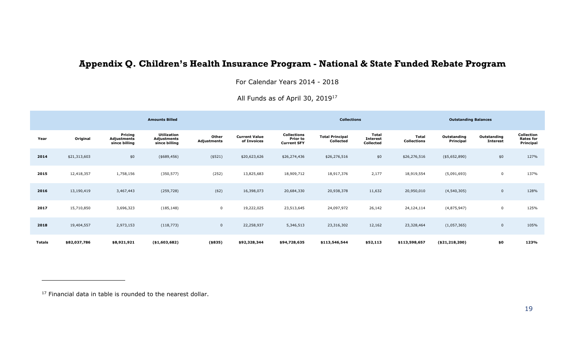## **Appendix Q. Children's Health Insurance Program - National & State Funded Rebate Program**

For Calendar Years 2014 - 2018

<span id="page-36-0"></span>

|               |              |                                                | <b>Amounts Billed</b>                       |                             |                                     |                                                      | <b>Collections</b><br><b>Outstanding Balances</b> |                                                     |                             |                          |                                |                                             |
|---------------|--------------|------------------------------------------------|---------------------------------------------|-----------------------------|-------------------------------------|------------------------------------------------------|---------------------------------------------------|-----------------------------------------------------|-----------------------------|--------------------------|--------------------------------|---------------------------------------------|
| Year          | Original     | Pricing<br><b>Adjustments</b><br>since billing | Utilization<br>Adjustments<br>since billing | Other<br><b>Adjustments</b> | <b>Current Value</b><br>of Invoices | <b>Collections</b><br>Prior to<br><b>Current SFY</b> | <b>Total Principal</b><br>Collected               | <b>Total</b><br><b>Interest</b><br><b>Collected</b> | Total<br><b>Collections</b> | Outstanding<br>Principal | Outstanding<br><b>Interest</b> | Collection<br><b>Rates for</b><br>Principal |
| 2014          | \$21,313,603 | \$0                                            | ( \$689, 456)                               | (\$521)                     | \$20,623,626                        | \$26,274,436                                         | \$26,276,516                                      | \$0                                                 | \$26,276,516                | $(*5,652,890)$           | \$0                            | 127%                                        |
| 2015          | 12,418,357   | 1,758,156                                      | (350, 577)                                  | (252)                       | 13,825,683                          | 18,909,712                                           | 18,917,376                                        | 2,177                                               | 18,919,554                  | (5,091,693)              | 0                              | 137%                                        |
| 2016          | 13,190,419   | 3,467,443                                      | (259, 728)                                  | (62)                        | 16,398,073                          | 20,684,330                                           | 20,938,378                                        | 11,632                                              | 20,950,010                  | (4, 540, 305)            | $\mathbf 0$                    | 128%                                        |
| 2017          | 15,710,850   | 3,696,323                                      | (185, 148)                                  | $\mathbf 0$                 | 19,222,025                          | 23,513,645                                           | 24,097,972                                        | 26,142                                              | 24,124,114                  | (4,875,947)              | $\mathbf 0$                    | 125%                                        |
| 2018          | 19,404,557   | 2,973,153                                      | (118, 773)                                  | $\mathbf{0}$                | 22,258,937                          | 5,346,513                                            | 23,316,302                                        | 12,162                                              | 23,328,464                  | (1,057,365)              | $\mathbf{0}$                   | 105%                                        |
| <b>Totals</b> | \$82,037,786 | \$8,921,921                                    | ( \$1,603,682)                              | (\$335)                     | \$92,328,344                        | \$94,728,635                                         | \$113,546,544                                     | \$52,113                                            | \$113,598,657               | ( \$21, 218, 200)        | \$0                            | 123%                                        |

All Funds as of April 30, 2019<sup>17</sup>

<sup>17</sup> Financial data in table is rounded to the nearest dollar.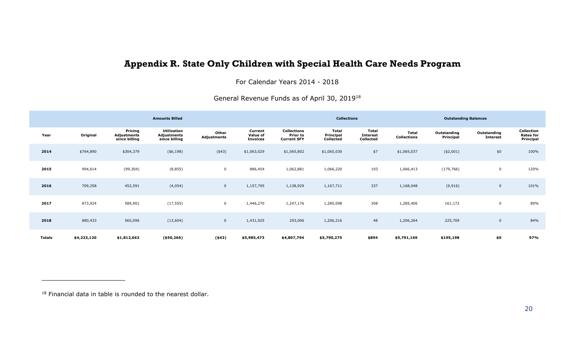### **Appendix R. State Only Children with Special Health Care Needs Program**

For Calendar Years 2014 - 2018

General Revenue Funds as of April 30, 2019<sup>18</sup>

<span id="page-37-0"></span>

|        |             |                                         | <b>Amounts Billed</b>                       |                      |                                        | <b>Collections</b><br><b>Outstanding Balances</b>    |                                        |                                       |                                    |                          |                                |                                             |
|--------|-------------|-----------------------------------------|---------------------------------------------|----------------------|----------------------------------------|------------------------------------------------------|----------------------------------------|---------------------------------------|------------------------------------|--------------------------|--------------------------------|---------------------------------------------|
| Year   | Original    | Pricing<br>Adjustments<br>since billing | Utilization<br>Adjustments<br>since billing | Other<br>Adjustments | Current<br>Value of<br><b>Invoices</b> | <b>Collections</b><br>Prior to<br><b>Current SFY</b> | <b>Total</b><br>Principal<br>Collected | Total<br><b>Interest</b><br>Collected | <b>Total</b><br><b>Collections</b> | Outstanding<br>Principal | Outstanding<br><b>Interest</b> | Collection<br><b>Rates for</b><br>Principal |
| 2014   | \$764,890   | \$304,379                               | ( \$6,198)                                  | $(*43)$              | \$1,063,029                            | \$1,065,802                                          | \$1,065,030                            | \$7                                   | \$1,065,037                        | $(*2,001)$               | \$0                            | 100%                                        |
| 2015   | 994,614     | (99, 304)                               | (8, 855)                                    | $\mathbf 0$          | 886,454                                | 1,062,881                                            | 1,066,220                              | 193                                   | 1,066,413                          | (179, 766)               | $\mathbf 0$                    | 120%                                        |
| 2016   | 709,258     | 452,591                                 | (4,054)                                     | $\overline{0}$       | 1,157,795                              | 1,138,929                                            | 1,167,711                              | 337                                   | 1,168,048                          | (9, 916)                 | $\mathbf 0$                    | 101%                                        |
| 2017   | 873,924     | 589,901                                 | (17, 555)                                   | $\mathbf 0$          | 1,446,270                              | 1,247,176                                            | 1,285,098                              | 308                                   | 1,285,406                          | 161,172                  | $\mathbf 0$                    | 89%                                         |
| 2018   | 880,433     | 565,096                                 | (13,604)                                    | $\overline{0}$       | 1,431,925                              | 293,006                                              | 1,206,216                              | 48                                    | 1,206,264                          | 225,709                  | $\mathbf{0}$                   | 84%                                         |
| Totals | \$4,223,120 | \$1,812,663                             | ( \$50, 266)                                | $(*43)$              | \$5,985,473                            | \$4,807,794                                          | \$5,790,275                            | \$894                                 | \$5,791,169                        | \$195,198                | \$0                            | 97%                                         |

<sup>18</sup> Financial data in table is rounded to the nearest dollar.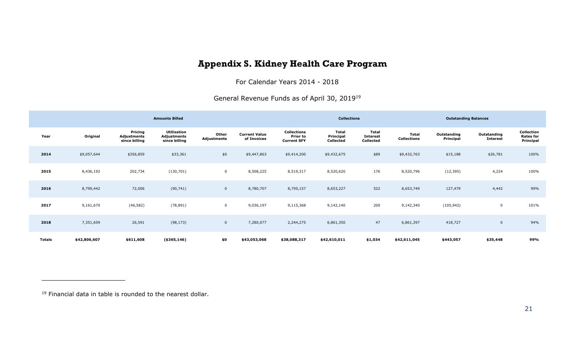### **Appendix S. Kidney Health Care Program**

For Calendar Years 2014 - 2018

General Revenue Funds as of April 30, 2019<sup>19</sup>

<span id="page-38-0"></span>

|        | <b>Amounts Billed</b> |                                         |                                                    |                      |                                     |                                                             | <b>Collections</b><br><b>Outstanding Balances</b> |                                              |                             |                          |                                |                                             |
|--------|-----------------------|-----------------------------------------|----------------------------------------------------|----------------------|-------------------------------------|-------------------------------------------------------------|---------------------------------------------------|----------------------------------------------|-----------------------------|--------------------------|--------------------------------|---------------------------------------------|
| Year   | Original              | Pricing<br>Adjustments<br>since billing | <b>Utilization</b><br>Adjustments<br>since billing | Other<br>Adjustments | <b>Current Value</b><br>of Invoices | <b>Collections</b><br><b>Prior to</b><br><b>Current SFY</b> | Total<br>Principal<br>Collected                   | <b>Total</b><br><b>Interest</b><br>Collected | Total<br><b>Collections</b> | Outstanding<br>Principal | Outstanding<br><b>Interest</b> | Collection<br><b>Rates for</b><br>Principal |
| 2014   | \$9,057,644           | \$356,859                               | \$33,361                                           | \$0                  | \$9,447,863                         | \$9,414,200                                                 | \$9,432,675                                       | \$89                                         | \$9,432,763                 | \$15,188                 | \$26,781                       | 100%                                        |
| 2015   | 8,436,192             | 202,734                                 | (130, 701)                                         | $\mathbf 0$          | 8,508,225                           | 8,519,317                                                   | 8,520,620                                         | 176                                          | 8,520,796                   | (12, 395)                | 4,224                          | 100%                                        |
| 2016   | 8,799,442             | 72,006                                  | (90, 741)                                          | $\mathbf{0}$         | 8,780,707                           | 8,795,157                                                   | 8,653,227                                         | 522                                          | 8,653,749                   | 127,479                  | 4,442                          | 99%                                         |
| 2017   | 9,161,670             | (46, 582)                               | (78, 891)                                          | $\mathbf 0$          | 9,036,197                           | 9,115,368                                                   | 9,142,140                                         | 200                                          | 9,142,340                   | (105, 942)               | 0                              | 101%                                        |
| 2018   | 7,351,659             | 26,591                                  | (98, 173)                                          | $\mathbf 0$          | 7,280,077                           | 2,244,275                                                   | 6,861,350                                         | 47                                           | 6,861,397                   | 418,727                  | $\mathbf 0$                    | 94%                                         |
| Totals | \$42,806,607          | \$611,608                               | ( \$365,146)                                       | \$0                  | \$43,053,068                        | \$38,088,317                                                | \$42,610,011                                      | \$1,034                                      | \$42,611,045                | \$443,057                | \$35,448                       | 99%                                         |

<sup>19</sup> Financial data in table is rounded to the nearest dollar.